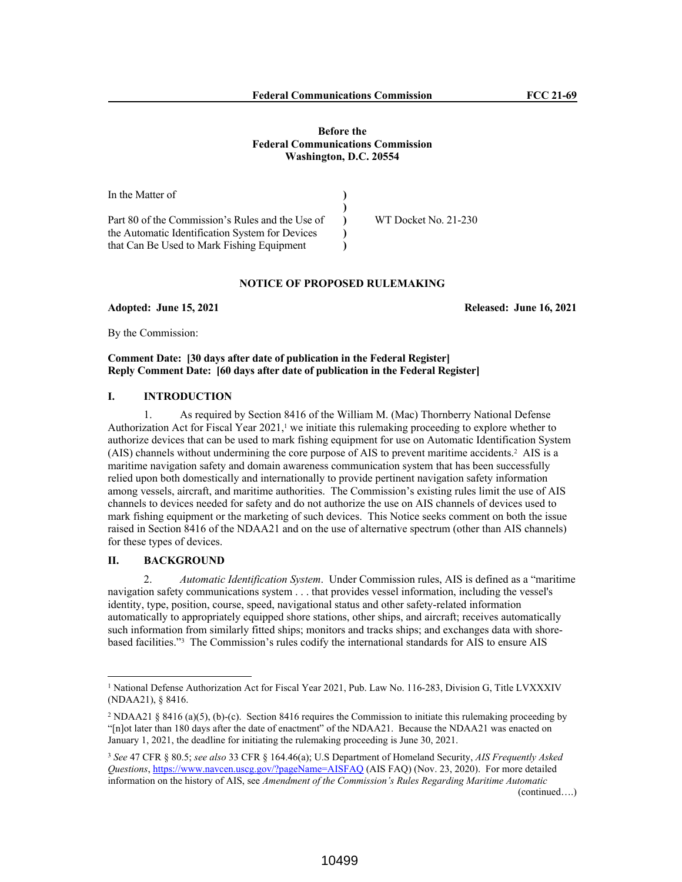## **Before the Federal Communications Commission Washington, D.C. 20554**

In the Matter of Part 80 of the Commission's Rules and the Use of the Automatic Identification System for Devices that Can Be Used to Mark Fishing Equipment **) ) ) ) )** WT Docket No. 21-230

# **NOTICE OF PROPOSED RULEMAKING**

**Adopted: June 15, 2021 Released: June 16, 2021**

By the Commission:

## **Comment Date: [30 days after date of publication in the Federal Register] Reply Comment Date: [60 days after date of publication in the Federal Register]**

# **I. INTRODUCTION**

1. As required by Section 8416 of the William M. (Mac) Thornberry National Defense Authorization Act for Fiscal Year  $2021$ ,<sup>1</sup> we initiate this rulemaking proceeding to explore whether to authorize devices that can be used to mark fishing equipment for use on Automatic Identification System (AIS) channels without undermining the core purpose of AIS to prevent maritime accidents.<sup>2</sup> AIS is a maritime navigation safety and domain awareness communication system that has been successfully relied upon both domestically and internationally to provide pertinent navigation safety information among vessels, aircraft, and maritime authorities. The Commission's existing rules limit the use of AIS channels to devices needed for safety and do not authorize the use on AIS channels of devices used to mark fishing equipment or the marketing of such devices. This Notice seeks comment on both the issue raised in Section 8416 of the NDAA21 and on the use of alternative spectrum (other than AIS channels) for these types of devices.

# **II. BACKGROUND**

2. *Automatic Identification System*. Under Commission rules, AIS is defined as a "maritime navigation safety communications system . . . that provides vessel information, including the vessel's identity, type, position, course, speed, navigational status and other safety-related information automatically to appropriately equipped shore stations, other ships, and aircraft; receives automatically such information from similarly fitted ships; monitors and tracks ships; and exchanges data with shorebased facilities."<sup>3</sup> The Commission's rules codify the international standards for AIS to ensure AIS

<sup>&</sup>lt;sup>1</sup> National Defense Authorization Act for Fiscal Year 2021, Pub. Law No. 116-283, Division G, Title LVXXXIV (NDAA21), § 8416.

<sup>&</sup>lt;sup>2</sup> NDAA21 § 8416 (a)(5), (b)-(c). Section 8416 requires the Commission to initiate this rulemaking proceeding by "[n]ot later than 180 days after the date of enactment" of the NDAA21. Because the NDAA21 was enacted on January 1, 2021, the deadline for initiating the rulemaking proceeding is June 30, 2021.

<sup>3</sup> *See* 47 CFR § 80.5; *see also* 33 CFR § 164.46(a); U.S Department of Homeland Security, *AIS Frequently Asked Questions*, https://www.navcen.uscg.gov/?pageName=AISFAQ (AIS FAQ) (Nov. 23, 2020). For more detailed information on the history of AIS, see *Amendment of the Commission's Rules Regarding Maritime Automatic*  (continued….)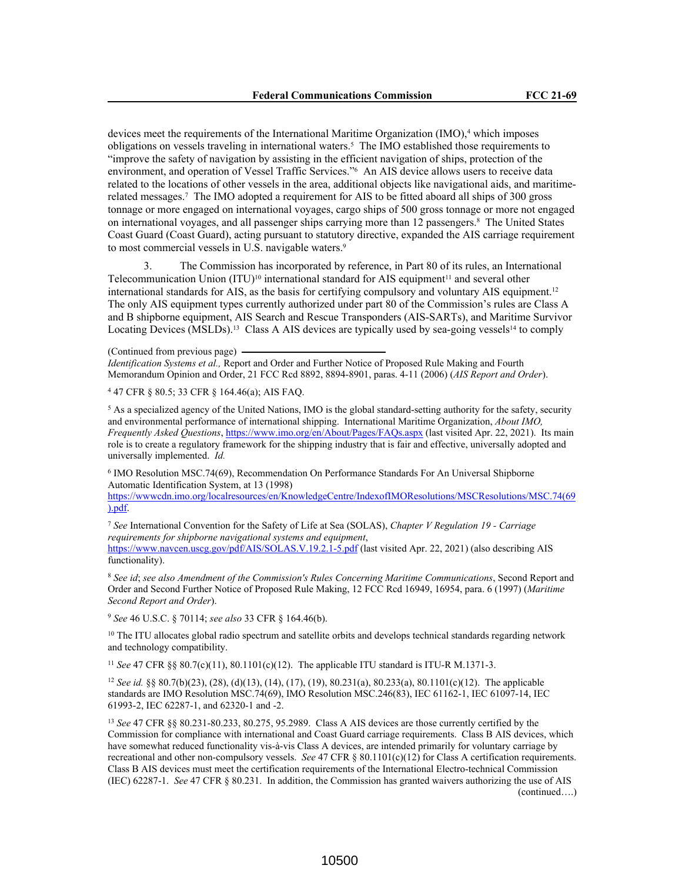devices meet the requirements of the International Maritime Organization (IMO),<sup>4</sup> which imposes obligations on vessels traveling in international waters.<sup>5</sup> The IMO established those requirements to "improve the safety of navigation by assisting in the efficient navigation of ships, protection of the environment, and operation of Vessel Traffic Services."<sup>6</sup> An AIS device allows users to receive data related to the locations of other vessels in the area, additional objects like navigational aids, and maritimerelated messages.<sup>7</sup> The IMO adopted a requirement for AIS to be fitted aboard all ships of 300 gross tonnage or more engaged on international voyages, cargo ships of 500 gross tonnage or more not engaged on international voyages, and all passenger ships carrying more than 12 passengers.<sup>8</sup> The United States Coast Guard (Coast Guard), acting pursuant to statutory directive, expanded the AIS carriage requirement to most commercial vessels in U.S. navigable waters.<sup>9</sup>

3. The Commission has incorporated by reference, in Part 80 of its rules, an International Telecommunication Union  $(TU)^{10}$  international standard for AIS equipment<sup>11</sup> and several other international standards for AIS, as the basis for certifying compulsory and voluntary AIS equipment.<sup>12</sup> The only AIS equipment types currently authorized under part 80 of the Commission's rules are Class A and B shipborne equipment, AIS Search and Rescue Transponders (AIS-SARTs), and Maritime Survivor Locating Devices (MSLDs).<sup>13</sup> Class A AIS devices are typically used by sea-going vessels<sup>14</sup> to comply

(Continued from previous page) *Identification Systems et al.,* Report and Order and Further Notice of Proposed Rule Making and Fourth Memorandum Opinion and Order, 21 FCC Rcd 8892, 8894-8901, paras. 4-11 (2006) (*AIS Report and Order*).

4 47 CFR § 80.5; 33 CFR § 164.46(a); AIS FAQ.

<sup>5</sup> As a specialized agency of the United Nations, IMO is the global standard-setting authority for the safety, security and environmental performance of international shipping. International Maritime Organization, *About IMO, Frequently Asked Questions*, https://www.imo.org/en/About/Pages/FAQs.aspx (last visited Apr. 22, 2021). Its main role is to create a regulatory framework for the shipping industry that is fair and effective, universally adopted and universally implemented. *Id.*

6 IMO Resolution MSC.74(69), Recommendation On Performance Standards For An Universal Shipborne Automatic Identification System, at 13 (1998)

https://wwwcdn.imo.org/localresources/en/KnowledgeCentre/IndexofIMOResolutions/MSCResolutions/MSC.74(69 ).pdf.

<sup>7</sup> *See* International Convention for the Safety of Life at Sea (SOLAS), *Chapter V Regulation 19 - Carriage requirements for shipborne navigational systems and equipment*, https://www.navcen.uscg.gov/pdf/AIS/SOLAS.V.19.2.1-5.pdf (last visited Apr. 22, 2021) (also describing AIS

functionality).

<sup>8</sup> *See id*; *see also Amendment of the Commission's Rules Concerning Maritime Communications*, Second Report and Order and Second Further Notice of Proposed Rule Making, 12 FCC Rcd 16949, 16954, para. 6 (1997) (*Maritime Second Report and Order*).

<sup>9</sup> *See* 46 U.S.C. § 70114; *see also* 33 CFR § 164.46(b).

<sup>10</sup> The ITU allocates global radio spectrum and satellite orbits and develops technical standards regarding network and technology compatibility.

<sup>11</sup> *See* 47 CFR §§ 80.7(c)(11), 80.1101(c)(12). The applicable ITU standard is ITU-R M.1371-3.

<sup>12</sup> *See id.* §§ 80.7(b)(23), (28), (d)(13), (14), (17), (19), 80.231(a), 80.233(a), 80.1101(c)(12). The applicable standards are IMO Resolution MSC.74(69), IMO Resolution MSC.246(83), IEC 61162-1, IEC 61097-14, IEC 61993-2, IEC 62287-1, and 62320-1 and -2.

<sup>13</sup> *See* 47 CFR §§ 80.231-80.233, 80.275, 95.2989. Class A AIS devices are those currently certified by the Commission for compliance with international and Coast Guard carriage requirements. Class B AIS devices, which have somewhat reduced functionality vis-à-vis Class A devices, are intended primarily for voluntary carriage by recreational and other non-compulsory vessels. *See* 47 CFR § 80.1101(c)(12) for Class A certification requirements. Class B AIS devices must meet the certification requirements of the International Electro-technical Commission (IEC) 62287-1. *See* 47 CFR § 80.231. In addition, the Commission has granted waivers authorizing the use of AIS (continued….)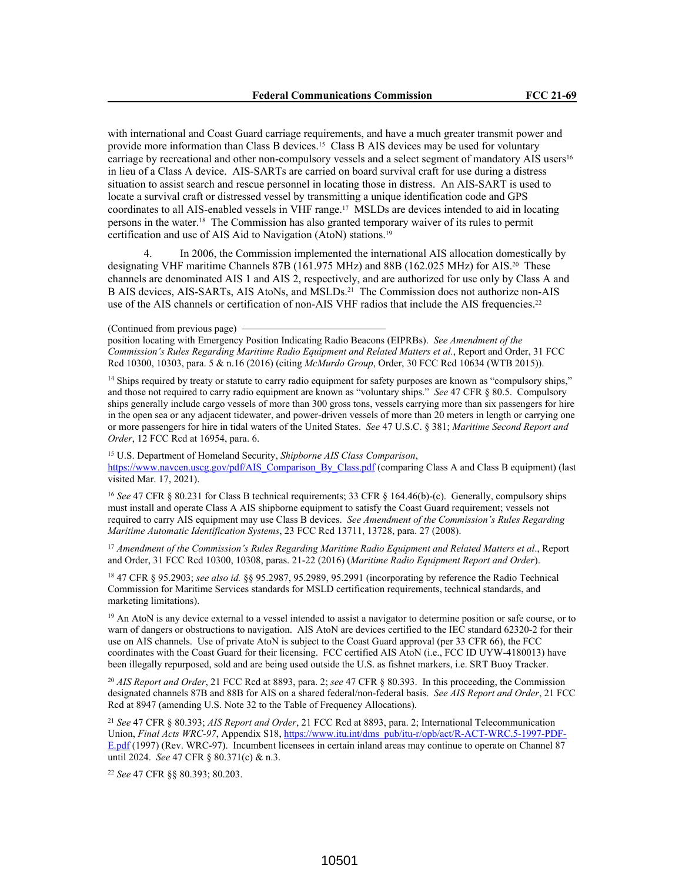with international and Coast Guard carriage requirements, and have a much greater transmit power and provide more information than Class B devices.15 Class B AIS devices may be used for voluntary carriage by recreational and other non-compulsory vessels and a select segment of mandatory AIS users<sup>16</sup> in lieu of a Class A device. AIS-SARTs are carried on board survival craft for use during a distress situation to assist search and rescue personnel in locating those in distress. An AIS-SART is used to locate a survival craft or distressed vessel by transmitting a unique identification code and GPS coordinates to all AIS-enabled vessels in VHF range.17 MSLDs are devices intended to aid in locating persons in the water.18 The Commission has also granted temporary waiver of its rules to permit certification and use of AIS Aid to Navigation (AtoN) stations.<sup>19</sup>

In 2006, the Commission implemented the international AIS allocation domestically by designating VHF maritime Channels 87B (161.975 MHz) and 88B (162.025 MHz) for AIS.20 These channels are denominated AIS 1 and AIS 2, respectively, and are authorized for use only by Class A and B AIS devices, AIS-SARTs, AIS AtoNs, and MSLDs.21 The Commission does not authorize non-AIS use of the AIS channels or certification of non-AIS VHF radios that include the AIS frequencies.<sup>22</sup>

position locating with Emergency Position Indicating Radio Beacons (EIPRBs). *See Amendment of the Commission's Rules Regarding Maritime Radio Equipment and Related Matters et al.*, Report and Order, 31 FCC Rcd 10300, 10303, para. 5 & n.16 (2016) (citing *McMurdo Group*, Order, 30 FCC Rcd 10634 (WTB 2015)).

<sup>14</sup> Ships required by treaty or statute to carry radio equipment for safety purposes are known as "compulsory ships," and those not required to carry radio equipment are known as "voluntary ships." *See* 47 CFR § 80.5. Compulsory ships generally include cargo vessels of more than 300 gross tons, vessels carrying more than six passengers for hire in the open sea or any adjacent tidewater, and power-driven vessels of more than 20 meters in length or carrying one or more passengers for hire in tidal waters of the United States. *See* 47 U.S.C. § 381; *Maritime Second Report and Order*, 12 FCC Rcd at 16954, para. 6.

<sup>15</sup> U.S. Department of Homeland Security, *Shipborne AIS Class Comparison*, https://www.navcen.uscg.gov/pdf/AIS\_Comparison\_By\_Class.pdf (comparing Class A and Class B equipment) (last visited Mar. 17, 2021).

<sup>16</sup> See 47 CFR § 80.231 for Class B technical requirements; 33 CFR § 164.46(b)-(c). Generally, compulsory ships must install and operate Class A AIS shipborne equipment to satisfy the Coast Guard requirement; vessels not required to carry AIS equipment may use Class B devices. *See Amendment of the Commission's Rules Regarding Maritime Automatic Identification Systems*, 23 FCC Rcd 13711, 13728, para. 27 (2008).

<sup>17</sup> *Amendment of the Commission's Rules Regarding Maritime Radio Equipment and Related Matters et al*., Report and Order, 31 FCC Rcd 10300, 10308, paras. 21-22 (2016) (*Maritime Radio Equipment Report and Order*).

<sup>18</sup> 47 CFR § 95.2903; *see also id.* §§ 95.2987, 95.2989, 95.2991 (incorporating by reference the Radio Technical Commission for Maritime Services standards for MSLD certification requirements, technical standards, and marketing limitations).

<sup>19</sup> An AtoN is any device external to a vessel intended to assist a navigator to determine position or safe course, or to warn of dangers or obstructions to navigation. AIS AtoN are devices certified to the IEC standard 62320-2 for their use on AIS channels. Use of private AtoN is subject to the Coast Guard approval (per 33 CFR 66), the FCC coordinates with the Coast Guard for their licensing. FCC certified AIS AtoN (i.e., FCC ID UYW-4180013) have been illegally repurposed, sold and are being used outside the U.S. as fishnet markers, i.e. SRT Buoy Tracker.

<sup>20</sup> *AIS Report and Order*, 21 FCC Rcd at 8893, para. 2; *see* 47 CFR § 80.393. In this proceeding, the Commission designated channels 87B and 88B for AIS on a shared federal/non-federal basis. *See AIS Report and Order*, 21 FCC Rcd at 8947 (amending U.S. Note 32 to the Table of Frequency Allocations).

<sup>21</sup> *See* 47 CFR § 80.393; *AIS Report and Order*, 21 FCC Rcd at 8893, para. 2; International Telecommunication Union, *Final Acts WRC-97*, Appendix S18, https://www.itu.int/dms\_pub/itu-r/opb/act/R-ACT-WRC.5-1997-PDF-E.pdf (1997) (Rev. WRC-97). Incumbent licensees in certain inland areas may continue to operate on Channel 87 until 2024. *See* 47 CFR § 80.371(c) & n.3.

<sup>22</sup> *See* 47 CFR §§ 80.393; 80.203.

<sup>(</sup>Continued from previous page)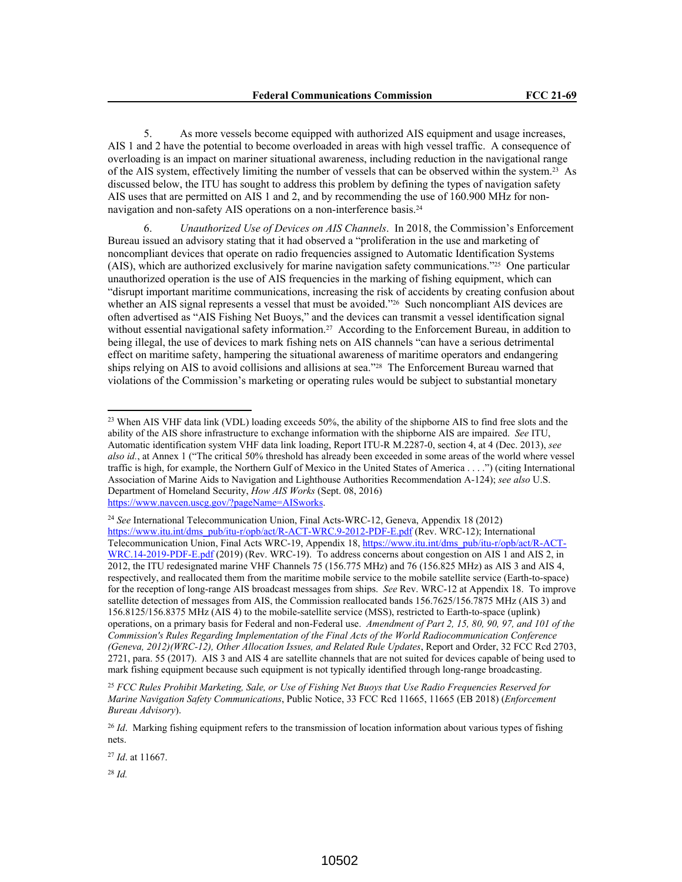5. As more vessels become equipped with authorized AIS equipment and usage increases, AIS 1 and 2 have the potential to become overloaded in areas with high vessel traffic. A consequence of overloading is an impact on mariner situational awareness, including reduction in the navigational range of the AIS system, effectively limiting the number of vessels that can be observed within the system.23 As discussed below, the ITU has sought to address this problem by defining the types of navigation safety AIS uses that are permitted on AIS 1 and 2, and by recommending the use of 160.900 MHz for nonnavigation and non-safety AIS operations on a non-interference basis.<sup>24</sup>

6. *Unauthorized Use of Devices on AIS Channels*. In 2018, the Commission's Enforcement Bureau issued an advisory stating that it had observed a "proliferation in the use and marketing of noncompliant devices that operate on radio frequencies assigned to Automatic Identification Systems (AIS), which are authorized exclusively for marine navigation safety communications."25 One particular unauthorized operation is the use of AIS frequencies in the marking of fishing equipment, which can "disrupt important maritime communications, increasing the risk of accidents by creating confusion about whether an AIS signal represents a vessel that must be avoided."<sup>26</sup> Such noncompliant AIS devices are often advertised as "AIS Fishing Net Buoys," and the devices can transmit a vessel identification signal without essential navigational safety information.<sup>27</sup> According to the Enforcement Bureau, in addition to being illegal, the use of devices to mark fishing nets on AIS channels "can have a serious detrimental effect on maritime safety, hampering the situational awareness of maritime operators and endangering ships relying on AIS to avoid collisions and allisions at sea."28 The Enforcement Bureau warned that violations of the Commission's marketing or operating rules would be subject to substantial monetary

<sup>27</sup> *Id*. at 11667.

<sup>28</sup> *Id.*

<sup>&</sup>lt;sup>23</sup> When AIS VHF data link (VDL) loading exceeds 50%, the ability of the shipborne AIS to find free slots and the ability of the AIS shore infrastructure to exchange information with the shipborne AIS are impaired. *See* ITU, Automatic identification system VHF data link loading, Report ITU-R M.2287-0, section 4, at 4 (Dec. 2013), *see also id.*, at Annex 1 ("The critical 50% threshold has already been exceeded in some areas of the world where vessel traffic is high, for example, the Northern Gulf of Mexico in the United States of America . . . .") (citing International Association of Marine Aids to Navigation and Lighthouse Authorities Recommendation A-124); *see also* U.S. Department of Homeland Security, *How AIS Works* (Sept. 08, 2016) https://www.navcen.uscg.gov/?pageName=AISworks.

<sup>24</sup> *See* International Telecommunication Union, Final Acts-WRC-12, Geneva, Appendix 18 (2012) https://www.itu.int/dms\_pub/itu-r/opb/act/R-ACT-WRC.9-2012-PDF-E.pdf (Rev. WRC-12); International Telecommunication Union, Final Acts WRC-19, Appendix 18, https://www.itu.int/dms\_pub/itu-r/opb/act/R-ACT-WRC.14-2019-PDF-E.pdf (2019) (Rev. WRC-19). To address concerns about congestion on AIS 1 and AIS 2, in 2012, the ITU redesignated marine VHF Channels 75 (156.775 MHz) and 76 (156.825 MHz) as AIS 3 and AIS 4, respectively, and reallocated them from the maritime mobile service to the mobile satellite service (Earth-to-space) for the reception of long-range AIS broadcast messages from ships. *See* Rev. WRC-12 at Appendix 18. To improve satellite detection of messages from AIS, the Commission reallocated bands 156.7625/156.7875 MHz (AIS 3) and 156.8125/156.8375 MHz (AIS 4) to the mobile-satellite service (MSS), restricted to Earth-to-space (uplink) operations, on a primary basis for Federal and non-Federal use. *Amendment of Part 2, 15, 80, 90, 97, and 101 of the Commission's Rules Regarding Implementation of the Final Acts of the World Radiocommunication Conference (Geneva, 2012)(WRC-12), Other Allocation Issues, and Related Rule Updates*, Report and Order, 32 FCC Rcd 2703, 2721, para. 55 (2017). AIS 3 and AIS 4 are satellite channels that are not suited for devices capable of being used to mark fishing equipment because such equipment is not typically identified through long-range broadcasting.

<sup>25</sup> *FCC Rules Prohibit Marketing, Sale, or Use of Fishing Net Buoys that Use Radio Frequencies Reserved for Marine Navigation Safety Communications*, Public Notice, 33 FCC Rcd 11665, 11665 (EB 2018) (*Enforcement Bureau Advisory*).

<sup>26</sup> *Id*. Marking fishing equipment refers to the transmission of location information about various types of fishing nets.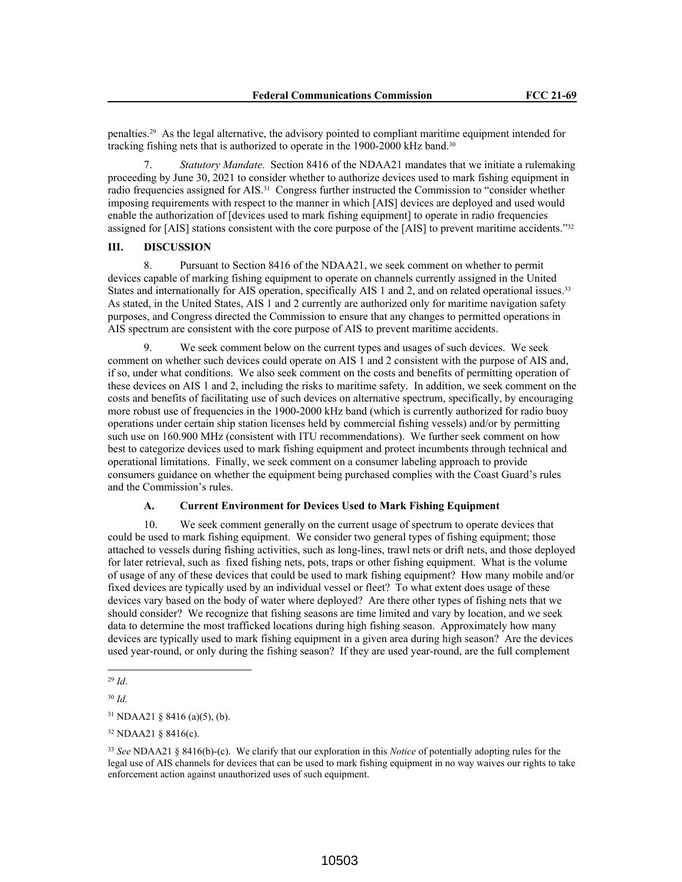penalties.29 As the legal alternative, the advisory pointed to compliant maritime equipment intended for tracking fishing nets that is authorized to operate in the 1900-2000 kHz band.<sup>30</sup>

7. *Statutory Mandate*. Section 8416 of the NDAA21 mandates that we initiate a rulemaking proceeding by June 30, 2021 to consider whether to authorize devices used to mark fishing equipment in radio frequencies assigned for AIS.31 Congress further instructed the Commission to "consider whether imposing requirements with respect to the manner in which [AIS] devices are deployed and used would enable the authorization of [devices used to mark fishing equipment] to operate in radio frequencies assigned for [AIS] stations consistent with the core purpose of the [AIS] to prevent maritime accidents."<sup>32</sup>

## **III. DISCUSSION**

8. Pursuant to Section 8416 of the NDAA21, we seek comment on whether to permit devices capable of marking fishing equipment to operate on channels currently assigned in the United States and internationally for AIS operation, specifically AIS 1 and 2, and on related operational issues.<sup>33</sup> As stated, in the United States, AIS 1 and 2 currently are authorized only for maritime navigation safety purposes, and Congress directed the Commission to ensure that any changes to permitted operations in AIS spectrum are consistent with the core purpose of AIS to prevent maritime accidents.

9. We seek comment below on the current types and usages of such devices. We seek comment on whether such devices could operate on AIS 1 and 2 consistent with the purpose of AIS and, if so, under what conditions. We also seek comment on the costs and benefits of permitting operation of these devices on AIS 1 and 2, including the risks to maritime safety. In addition, we seek comment on the costs and benefits of facilitating use of such devices on alternative spectrum, specifically, by encouraging more robust use of frequencies in the 1900-2000 kHz band (which is currently authorized for radio buoy operations under certain ship station licenses held by commercial fishing vessels) and/or by permitting such use on 160.900 MHz (consistent with ITU recommendations). We further seek comment on how best to categorize devices used to mark fishing equipment and protect incumbents through technical and operational limitations. Finally, we seek comment on a consumer labeling approach to provide consumers guidance on whether the equipment being purchased complies with the Coast Guard's rules and the Commission's rules.

### **A. Current Environment for Devices Used to Mark Fishing Equipment**

10. We seek comment generally on the current usage of spectrum to operate devices that could be used to mark fishing equipment. We consider two general types of fishing equipment; those attached to vessels during fishing activities, such as long-lines, trawl nets or drift nets, and those deployed for later retrieval, such as fixed fishing nets, pots, traps or other fishing equipment. What is the volume of usage of any of these devices that could be used to mark fishing equipment? How many mobile and/or fixed devices are typically used by an individual vessel or fleet? To what extent does usage of these devices vary based on the body of water where deployed? Are there other types of fishing nets that we should consider? We recognize that fishing seasons are time limited and vary by location, and we seek data to determine the most trafficked locations during high fishing season. Approximately how many devices are typically used to mark fishing equipment in a given area during high season? Are the devices used year-round, or only during the fishing season? If they are used year-round, are the full complement

<sup>29</sup> *Id*.

<sup>30</sup> *Id.*

<sup>31</sup> NDAA21 § 8416 (a)(5), (b).

<sup>32</sup> NDAA21 § 8416(c).

<sup>33</sup> *See* NDAA21 § 8416(b)-(c). We clarify that our exploration in this *Notice* of potentially adopting rules for the legal use of AIS channels for devices that can be used to mark fishing equipment in no way waives our rights to take enforcement action against unauthorized uses of such equipment.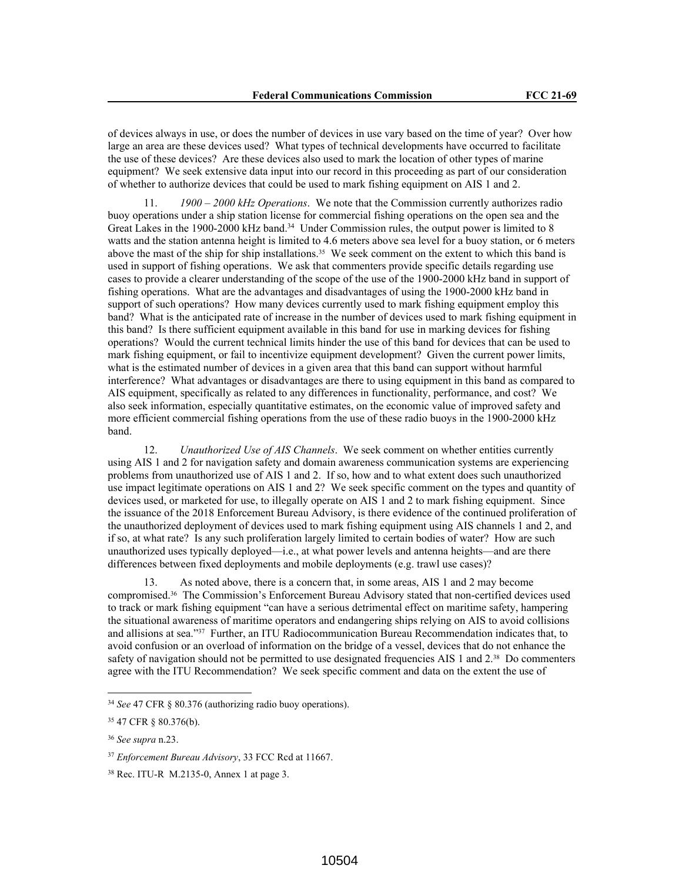of devices always in use, or does the number of devices in use vary based on the time of year? Over how large an area are these devices used? What types of technical developments have occurred to facilitate the use of these devices? Are these devices also used to mark the location of other types of marine equipment? We seek extensive data input into our record in this proceeding as part of our consideration of whether to authorize devices that could be used to mark fishing equipment on AIS 1 and 2.

11. *1900 – 2000 kHz Operations*. We note that the Commission currently authorizes radio buoy operations under a ship station license for commercial fishing operations on the open sea and the Great Lakes in the 1900-2000 kHz band.<sup>34</sup> Under Commission rules, the output power is limited to 8 watts and the station antenna height is limited to 4.6 meters above sea level for a buoy station, or 6 meters above the mast of the ship for ship installations.35 We seek comment on the extent to which this band is used in support of fishing operations. We ask that commenters provide specific details regarding use cases to provide a clearer understanding of the scope of the use of the 1900-2000 kHz band in support of fishing operations. What are the advantages and disadvantages of using the 1900-2000 kHz band in support of such operations? How many devices currently used to mark fishing equipment employ this band? What is the anticipated rate of increase in the number of devices used to mark fishing equipment in this band? Is there sufficient equipment available in this band for use in marking devices for fishing operations? Would the current technical limits hinder the use of this band for devices that can be used to mark fishing equipment, or fail to incentivize equipment development? Given the current power limits, what is the estimated number of devices in a given area that this band can support without harmful interference? What advantages or disadvantages are there to using equipment in this band as compared to AIS equipment, specifically as related to any differences in functionality, performance, and cost? We also seek information, especially quantitative estimates, on the economic value of improved safety and more efficient commercial fishing operations from the use of these radio buoys in the 1900-2000 kHz band.

12. *Unauthorized Use of AIS Channels*. We seek comment on whether entities currently using AIS 1 and 2 for navigation safety and domain awareness communication systems are experiencing problems from unauthorized use of AIS 1 and 2. If so, how and to what extent does such unauthorized use impact legitimate operations on AIS 1 and 2? We seek specific comment on the types and quantity of devices used, or marketed for use, to illegally operate on AIS 1 and 2 to mark fishing equipment. Since the issuance of the 2018 Enforcement Bureau Advisory, is there evidence of the continued proliferation of the unauthorized deployment of devices used to mark fishing equipment using AIS channels 1 and 2, and if so, at what rate? Is any such proliferation largely limited to certain bodies of water? How are such unauthorized uses typically deployed—i.e., at what power levels and antenna heights—and are there differences between fixed deployments and mobile deployments (e.g. trawl use cases)?

13. As noted above, there is a concern that, in some areas, AIS 1 and 2 may become compromised.36 The Commission's Enforcement Bureau Advisory stated that non-certified devices used to track or mark fishing equipment "can have a serious detrimental effect on maritime safety, hampering the situational awareness of maritime operators and endangering ships relying on AIS to avoid collisions and allisions at sea."37 Further, an ITU Radiocommunication Bureau Recommendation indicates that, to avoid confusion or an overload of information on the bridge of a vessel, devices that do not enhance the safety of navigation should not be permitted to use designated frequencies AIS 1 and 2.<sup>38</sup> Do commenters agree with the ITU Recommendation? We seek specific comment and data on the extent the use of

<sup>34</sup> *See* 47 CFR § 80.376 (authorizing radio buoy operations).

<sup>35</sup> 47 CFR § 80.376(b).

<sup>36</sup> *See supra* n.23.

<sup>37</sup> *Enforcement Bureau Advisory*, 33 FCC Rcd at 11667.

<sup>38</sup> Rec. ITU-R M.2135-0, Annex 1 at page 3.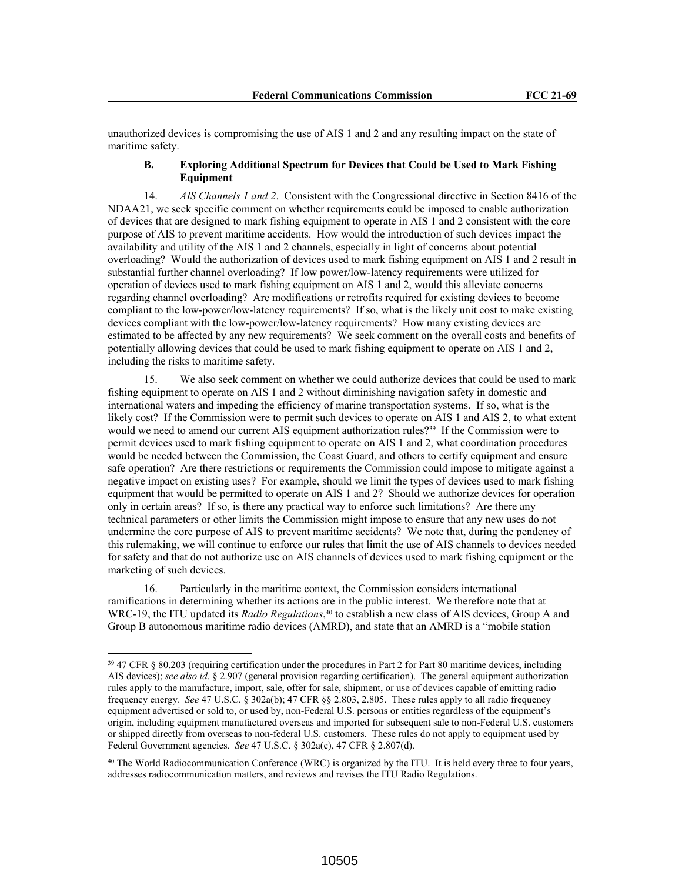unauthorized devices is compromising the use of AIS 1 and 2 and any resulting impact on the state of maritime safety.

## **B. Exploring Additional Spectrum for Devices that Could be Used to Mark Fishing Equipment**

14. *AIS Channels 1 and 2*. Consistent with the Congressional directive in Section 8416 of the NDAA21, we seek specific comment on whether requirements could be imposed to enable authorization of devices that are designed to mark fishing equipment to operate in AIS 1 and 2 consistent with the core purpose of AIS to prevent maritime accidents. How would the introduction of such devices impact the availability and utility of the AIS 1 and 2 channels, especially in light of concerns about potential overloading? Would the authorization of devices used to mark fishing equipment on AIS 1 and 2 result in substantial further channel overloading? If low power/low-latency requirements were utilized for operation of devices used to mark fishing equipment on AIS 1 and 2, would this alleviate concerns regarding channel overloading? Are modifications or retrofits required for existing devices to become compliant to the low-power/low-latency requirements? If so, what is the likely unit cost to make existing devices compliant with the low-power/low-latency requirements? How many existing devices are estimated to be affected by any new requirements? We seek comment on the overall costs and benefits of potentially allowing devices that could be used to mark fishing equipment to operate on AIS 1 and 2, including the risks to maritime safety.

15. We also seek comment on whether we could authorize devices that could be used to mark fishing equipment to operate on AIS 1 and 2 without diminishing navigation safety in domestic and international waters and impeding the efficiency of marine transportation systems. If so, what is the likely cost? If the Commission were to permit such devices to operate on AIS 1 and AIS 2, to what extent would we need to amend our current AIS equipment authorization rules?<sup>39</sup> If the Commission were to permit devices used to mark fishing equipment to operate on AIS 1 and 2, what coordination procedures would be needed between the Commission, the Coast Guard, and others to certify equipment and ensure safe operation? Are there restrictions or requirements the Commission could impose to mitigate against a negative impact on existing uses? For example, should we limit the types of devices used to mark fishing equipment that would be permitted to operate on AIS 1 and 2? Should we authorize devices for operation only in certain areas? If so, is there any practical way to enforce such limitations? Are there any technical parameters or other limits the Commission might impose to ensure that any new uses do not undermine the core purpose of AIS to prevent maritime accidents? We note that, during the pendency of this rulemaking, we will continue to enforce our rules that limit the use of AIS channels to devices needed for safety and that do not authorize use on AIS channels of devices used to mark fishing equipment or the marketing of such devices.

16. Particularly in the maritime context, the Commission considers international ramifications in determining whether its actions are in the public interest. We therefore note that at WRC-19, the ITU updated its *Radio Regulations*, <sup>40</sup> to establish a new class of AIS devices, Group A and Group B autonomous maritime radio devices (AMRD), and state that an AMRD is a "mobile station

<sup>39</sup> 47 CFR § 80.203 (requiring certification under the procedures in Part 2 for Part 80 maritime devices, including AIS devices); *see also id*. § 2.907 (general provision regarding certification). The general equipment authorization rules apply to the manufacture, import, sale, offer for sale, shipment, or use of devices capable of emitting radio frequency energy. *See* 47 U.S.C. § 302a(b); 47 CFR §§ 2.803, 2.805. These rules apply to all radio frequency equipment advertised or sold to, or used by, non-Federal U.S. persons or entities regardless of the equipment's origin, including equipment manufactured overseas and imported for subsequent sale to non-Federal U.S. customers or shipped directly from overseas to non-federal U.S. customers. These rules do not apply to equipment used by Federal Government agencies. *See* 47 U.S.C. § 302a(c), 47 CFR § 2.807(d).

<sup>40</sup> The World Radiocommunication Conference (WRC) is organized by the ITU. It is held every three to four years, addresses radiocommunication matters, and reviews and revises the ITU Radio Regulations.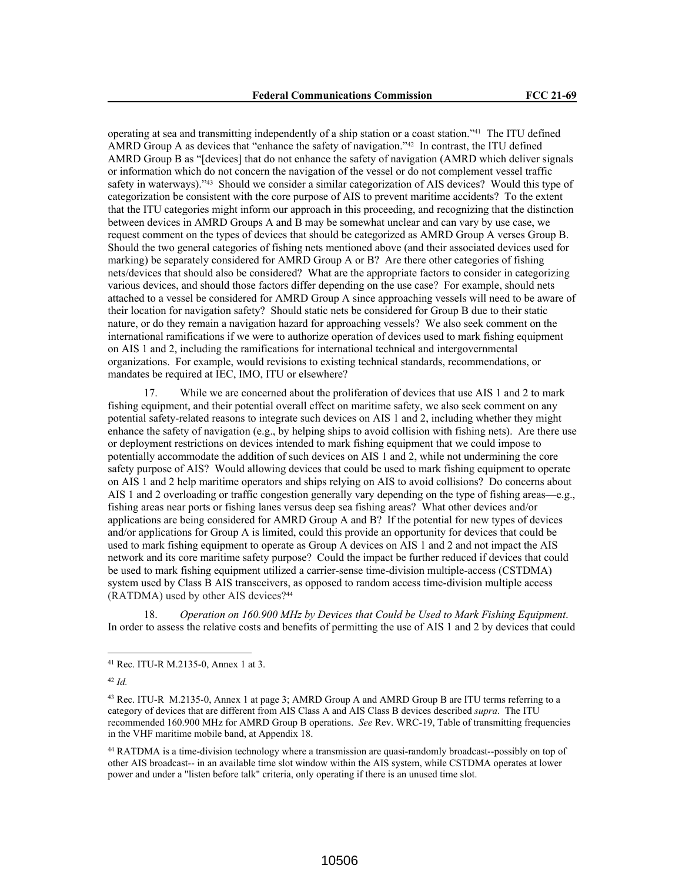operating at sea and transmitting independently of a ship station or a coast station."41 The ITU defined AMRD Group A as devices that "enhance the safety of navigation."42 In contrast, the ITU defined AMRD Group B as "[devices] that do not enhance the safety of navigation (AMRD which deliver signals or information which do not concern the navigation of the vessel or do not complement vessel traffic safety in waterways)."43 Should we consider a similar categorization of AIS devices? Would this type of categorization be consistent with the core purpose of AIS to prevent maritime accidents? To the extent that the ITU categories might inform our approach in this proceeding, and recognizing that the distinction between devices in AMRD Groups A and B may be somewhat unclear and can vary by use case, we request comment on the types of devices that should be categorized as AMRD Group A verses Group B. Should the two general categories of fishing nets mentioned above (and their associated devices used for marking) be separately considered for AMRD Group A or B? Are there other categories of fishing nets/devices that should also be considered? What are the appropriate factors to consider in categorizing various devices, and should those factors differ depending on the use case? For example, should nets attached to a vessel be considered for AMRD Group A since approaching vessels will need to be aware of their location for navigation safety? Should static nets be considered for Group B due to their static nature, or do they remain a navigation hazard for approaching vessels? We also seek comment on the international ramifications if we were to authorize operation of devices used to mark fishing equipment on AIS 1 and 2, including the ramifications for international technical and intergovernmental organizations. For example, would revisions to existing technical standards, recommendations, or mandates be required at IEC, IMO, ITU or elsewhere?

While we are concerned about the proliferation of devices that use AIS 1 and 2 to mark fishing equipment, and their potential overall effect on maritime safety, we also seek comment on any potential safety-related reasons to integrate such devices on AIS 1 and 2, including whether they might enhance the safety of navigation (e.g., by helping ships to avoid collision with fishing nets). Are there use or deployment restrictions on devices intended to mark fishing equipment that we could impose to potentially accommodate the addition of such devices on AIS 1 and 2, while not undermining the core safety purpose of AIS? Would allowing devices that could be used to mark fishing equipment to operate on AIS 1 and 2 help maritime operators and ships relying on AIS to avoid collisions? Do concerns about AIS 1 and 2 overloading or traffic congestion generally vary depending on the type of fishing areas—e.g., fishing areas near ports or fishing lanes versus deep sea fishing areas? What other devices and/or applications are being considered for AMRD Group A and B? If the potential for new types of devices and/or applications for Group A is limited, could this provide an opportunity for devices that could be used to mark fishing equipment to operate as Group A devices on AIS 1 and 2 and not impact the AIS network and its core maritime safety purpose? Could the impact be further reduced if devices that could be used to mark fishing equipment utilized a carrier-sense time-division multiple-access (CSTDMA) system used by Class B AIS transceivers, as opposed to random access time-division multiple access (RATDMA) used by other AIS devices?<sup>44</sup>

18. *Operation on 160.900 MHz by Devices that Could be Used to Mark Fishing Equipment*. In order to assess the relative costs and benefits of permitting the use of AIS 1 and 2 by devices that could

<sup>41</sup> Rec. ITU-R M.2135-0, Annex 1 at 3.

<sup>42</sup> *Id.*

<sup>43</sup> Rec. ITU-R M.2135-0, Annex 1 at page 3; AMRD Group A and AMRD Group B are ITU terms referring to a category of devices that are different from AIS Class A and AIS Class B devices described *supra*. The ITU recommended 160.900 MHz for AMRD Group B operations. *See* Rev. WRC-19, Table of transmitting frequencies in the VHF maritime mobile band, at Appendix 18.

<sup>44</sup> RATDMA is a time-division technology where a transmission are quasi-randomly broadcast--possibly on top of other AIS broadcast-- in an available time slot window within the AIS system, while CSTDMA operates at lower power and under a "listen before talk" criteria, only operating if there is an unused time slot.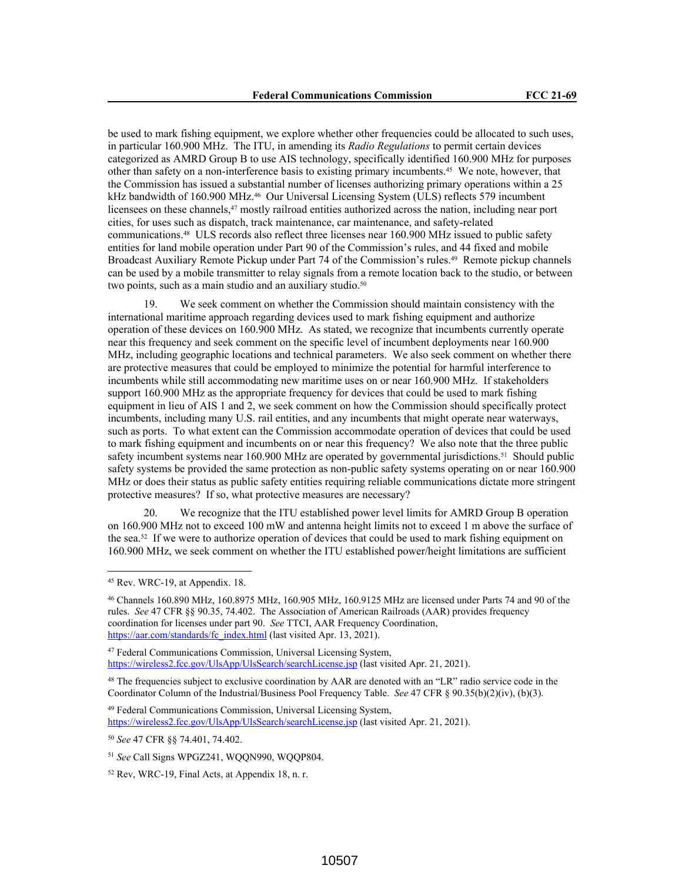be used to mark fishing equipment, we explore whether other frequencies could be allocated to such uses, in particular 160.900 MHz. The ITU, in amending its *Radio Regulations* to permit certain devices categorized as AMRD Group B to use AIS technology, specifically identified 160.900 MHz for purposes other than safety on a non-interference basis to existing primary incumbents.45 We note, however, that the Commission has issued a substantial number of licenses authorizing primary operations within a 25 kHz bandwidth of 160.900 MHz.<sup>46</sup> Our Universal Licensing System (ULS) reflects 579 incumbent licensees on these channels,47 mostly railroad entities authorized across the nation, including near port cities, for uses such as dispatch, track maintenance, car maintenance, and safety-related communications.48 ULS records also reflect three licenses near 160.900 MHz issued to public safety entities for land mobile operation under Part 90 of the Commission's rules, and 44 fixed and mobile Broadcast Auxiliary Remote Pickup under Part 74 of the Commission's rules.<sup>49</sup> Remote pickup channels can be used by a mobile transmitter to relay signals from a remote location back to the studio, or between two points, such as a main studio and an auxiliary studio.<sup>50</sup>

19. We seek comment on whether the Commission should maintain consistency with the international maritime approach regarding devices used to mark fishing equipment and authorize operation of these devices on 160.900 MHz. As stated, we recognize that incumbents currently operate near this frequency and seek comment on the specific level of incumbent deployments near 160.900 MHz, including geographic locations and technical parameters. We also seek comment on whether there are protective measures that could be employed to minimize the potential for harmful interference to incumbents while still accommodating new maritime uses on or near 160.900 MHz. If stakeholders support 160.900 MHz as the appropriate frequency for devices that could be used to mark fishing equipment in lieu of AIS 1 and 2, we seek comment on how the Commission should specifically protect incumbents, including many U.S. rail entities, and any incumbents that might operate near waterways, such as ports. To what extent can the Commission accommodate operation of devices that could be used to mark fishing equipment and incumbents on or near this frequency? We also note that the three public safety incumbent systems near 160.900 MHz are operated by governmental jurisdictions.<sup>51</sup> Should public safety systems be provided the same protection as non-public safety systems operating on or near 160.900 MHz or does their status as public safety entities requiring reliable communications dictate more stringent protective measures? If so, what protective measures are necessary?

20. We recognize that the ITU established power level limits for AMRD Group B operation on 160.900 MHz not to exceed 100 mW and antenna height limits not to exceed 1 m above the surface of the sea.52 If we were to authorize operation of devices that could be used to mark fishing equipment on 160.900 MHz, we seek comment on whether the ITU established power/height limitations are sufficient

<sup>49</sup> Federal Communications Commission, Universal Licensing System, https://wireless2.fcc.gov/UlsApp/UlsSearch/searchLicense.jsp (last visited Apr. 21, 2021).

<sup>45</sup> Rev. WRC-19, at Appendix. 18.

<sup>46</sup> Channels 160.890 MHz, 160.8975 MHz, 160.905 MHz, 160.9125 MHz are licensed under Parts 74 and 90 of the rules. *See* 47 CFR §§ 90.35, 74.402. The Association of American Railroads (AAR) provides frequency coordination for licenses under part 90. *See* TTCI, AAR Frequency Coordination, https://aar.com/standards/fc\_index.html (last visited Apr. 13, 2021).

<sup>47</sup> Federal Communications Commission, Universal Licensing System, https://wireless2.fcc.gov/UlsApp/UlsSearch/searchLicense.jsp (last visited Apr. 21, 2021).

<sup>&</sup>lt;sup>48</sup> The frequencies subject to exclusive coordination by AAR are denoted with an "LR" radio service code in the Coordinator Column of the Industrial/Business Pool Frequency Table. *See* 47 CFR § 90.35(b)(2)(iv), (b)(3).

<sup>50</sup> *See* 47 CFR §§ 74.401, 74.402.

<sup>51</sup> *See* Call Signs WPGZ241, WQQN990, WQQP804.

<sup>52</sup> Rev, WRC-19, Final Acts, at Appendix 18, n. r.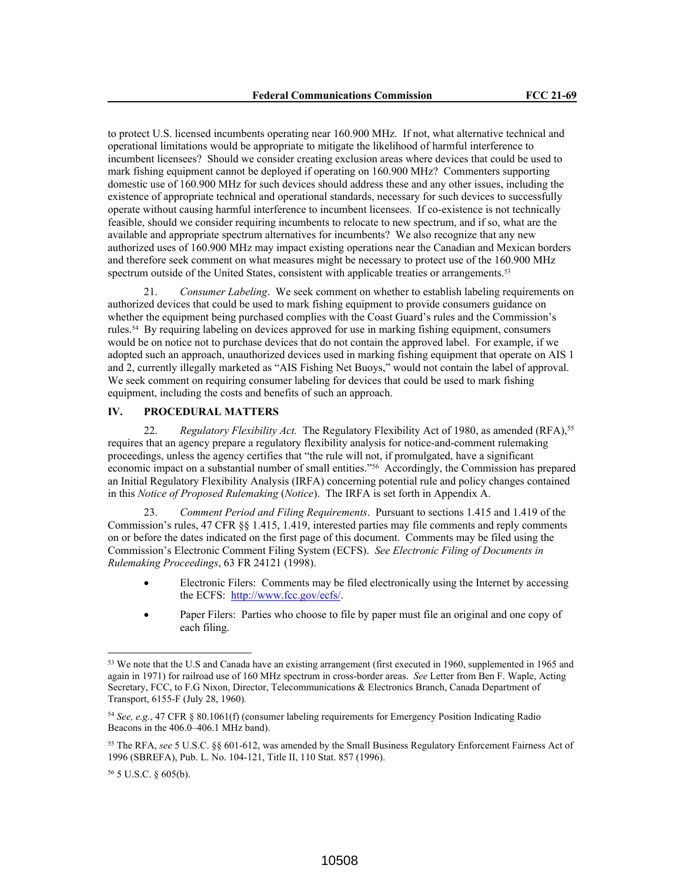to protect U.S. licensed incumbents operating near 160.900 MHz. If not, what alternative technical and operational limitations would be appropriate to mitigate the likelihood of harmful interference to incumbent licensees? Should we consider creating exclusion areas where devices that could be used to mark fishing equipment cannot be deployed if operating on 160.900 MHz? Commenters supporting domestic use of 160.900 MHz for such devices should address these and any other issues, including the existence of appropriate technical and operational standards, necessary for such devices to successfully operate without causing harmful interference to incumbent licensees. If co-existence is not technically feasible, should we consider requiring incumbents to relocate to new spectrum, and if so, what are the available and appropriate spectrum alternatives for incumbents? We also recognize that any new authorized uses of 160.900 MHz may impact existing operations near the Canadian and Mexican borders and therefore seek comment on what measures might be necessary to protect use of the 160.900 MHz spectrum outside of the United States, consistent with applicable treaties or arrangements.<sup>53</sup>

21. *Consumer Labeling*. We seek comment on whether to establish labeling requirements on authorized devices that could be used to mark fishing equipment to provide consumers guidance on whether the equipment being purchased complies with the Coast Guard's rules and the Commission's rules.54 By requiring labeling on devices approved for use in marking fishing equipment, consumers would be on notice not to purchase devices that do not contain the approved label. For example, if we adopted such an approach, unauthorized devices used in marking fishing equipment that operate on AIS 1 and 2, currently illegally marketed as "AIS Fishing Net Buoys," would not contain the label of approval. We seek comment on requiring consumer labeling for devices that could be used to mark fishing equipment, including the costs and benefits of such an approach.

## **IV. PROCEDURAL MATTERS**

22. *Regulatory Flexibility Act.* The Regulatory Flexibility Act of 1980, as amended (RFA),<sup>55</sup> requires that an agency prepare a regulatory flexibility analysis for notice-and-comment rulemaking proceedings, unless the agency certifies that "the rule will not, if promulgated, have a significant economic impact on a substantial number of small entities."<sup>56</sup> Accordingly, the Commission has prepared an Initial Regulatory Flexibility Analysis (IRFA) concerning potential rule and policy changes contained in this *Notice of Proposed Rulemaking* (*Notice*). The IRFA is set forth in Appendix A.

23. *Comment Period and Filing Requirements*. Pursuant to sections 1.415 and 1.419 of the Commission's rules, 47 CFR §§ 1.415, 1.419, interested parties may file comments and reply comments on or before the dates indicated on the first page of this document. Comments may be filed using the Commission's Electronic Comment Filing System (ECFS). *See Electronic Filing of Documents in Rulemaking Proceedings*, 63 FR 24121 (1998).

- Electronic Filers: Comments may be filed electronically using the Internet by accessing the ECFS: http://www.fcc.gov/ecfs/.
- Paper Filers: Parties who choose to file by paper must file an original and one copy of each filing.

<sup>56</sup> 5 U.S.C. § 605(b).

<sup>53</sup> We note that the U.S and Canada have an existing arrangement (first executed in 1960, supplemented in 1965 and again in 1971) for railroad use of 160 MHz spectrum in cross-border areas. *See* Letter from Ben F. Waple, Acting Secretary, FCC, to F.G Nixon, Director, Telecommunications & Electronics Branch, Canada Department of Transport, 6155-F (July 28, 1960)*.*

<sup>54</sup> *See, e.g.*, 47 CFR § 80.1061(f) (consumer labeling requirements for Emergency Position Indicating Radio Beacons in the 406.0–406.1 MHz band).

<sup>55</sup> The RFA, *see* 5 U.S.C. §§ 601-612, was amended by the Small Business Regulatory Enforcement Fairness Act of 1996 (SBREFA), Pub. L. No. 104-121, Title II, 110 Stat. 857 (1996).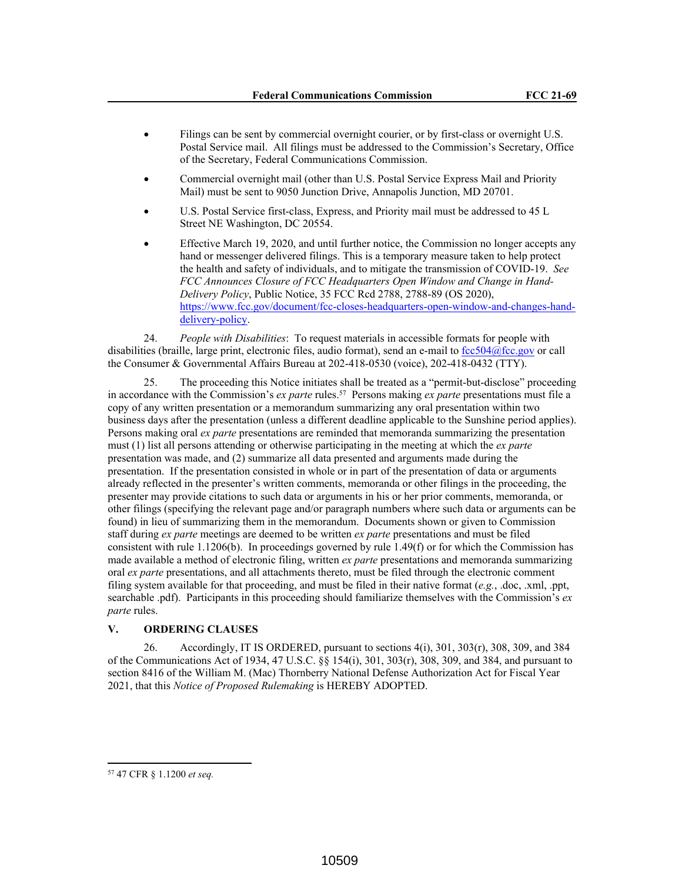- Filings can be sent by commercial overnight courier, or by first-class or overnight U.S. Postal Service mail. All filings must be addressed to the Commission's Secretary, Office of the Secretary, Federal Communications Commission.
- Commercial overnight mail (other than U.S. Postal Service Express Mail and Priority Mail) must be sent to 9050 Junction Drive, Annapolis Junction, MD 20701.
- U.S. Postal Service first-class, Express, and Priority mail must be addressed to 45 L Street NE Washington, DC 20554.
- Effective March 19, 2020, and until further notice, the Commission no longer accepts any hand or messenger delivered filings. This is a temporary measure taken to help protect the health and safety of individuals, and to mitigate the transmission of COVID-19. *See FCC Announces Closure of FCC Headquarters Open Window and Change in Hand-Delivery Policy*, Public Notice, 35 FCC Rcd 2788, 2788-89 (OS 2020), https://www.fcc.gov/document/fcc-closes-headquarters-open-window-and-changes-handdelivery-policy.

24. *People with Disabilities*: To request materials in accessible formats for people with disabilities (braille, large print, electronic files, audio format), send an e-mail to fcc504@fcc.gov or call the Consumer & Governmental Affairs Bureau at 202-418-0530 (voice), 202-418-0432 (TTY).

25. The proceeding this Notice initiates shall be treated as a "permit-but-disclose" proceeding in accordance with the Commission's *ex parte* rules.<sup>57</sup> Persons making *ex parte* presentations must file a copy of any written presentation or a memorandum summarizing any oral presentation within two business days after the presentation (unless a different deadline applicable to the Sunshine period applies). Persons making oral *ex parte* presentations are reminded that memoranda summarizing the presentation must (1) list all persons attending or otherwise participating in the meeting at which the *ex parte*  presentation was made, and (2) summarize all data presented and arguments made during the presentation. If the presentation consisted in whole or in part of the presentation of data or arguments already reflected in the presenter's written comments, memoranda or other filings in the proceeding, the presenter may provide citations to such data or arguments in his or her prior comments, memoranda, or other filings (specifying the relevant page and/or paragraph numbers where such data or arguments can be found) in lieu of summarizing them in the memorandum. Documents shown or given to Commission staff during *ex parte* meetings are deemed to be written *ex parte* presentations and must be filed consistent with rule 1.1206(b). In proceedings governed by rule 1.49(f) or for which the Commission has made available a method of electronic filing, written *ex parte* presentations and memoranda summarizing oral *ex parte* presentations, and all attachments thereto, must be filed through the electronic comment filing system available for that proceeding, and must be filed in their native format (*e.g.*, .doc, .xml, .ppt, searchable .pdf). Participants in this proceeding should familiarize themselves with the Commission's *ex parte* rules.

## **V. ORDERING CLAUSES**

26. Accordingly, IT IS ORDERED, pursuant to sections  $4(i)$ ,  $301$ ,  $303(r)$ ,  $308$ ,  $309$ , and  $384$ of the Communications Act of 1934, 47 U.S.C. §§ 154(i), 301, 303(r), 308, 309, and 384, and pursuant to section 8416 of the William M. (Mac) Thornberry National Defense Authorization Act for Fiscal Year 2021, that this *Notice of Proposed Rulemaking* is HEREBY ADOPTED.

<sup>57</sup> 47 CFR § 1.1200 *et seq.*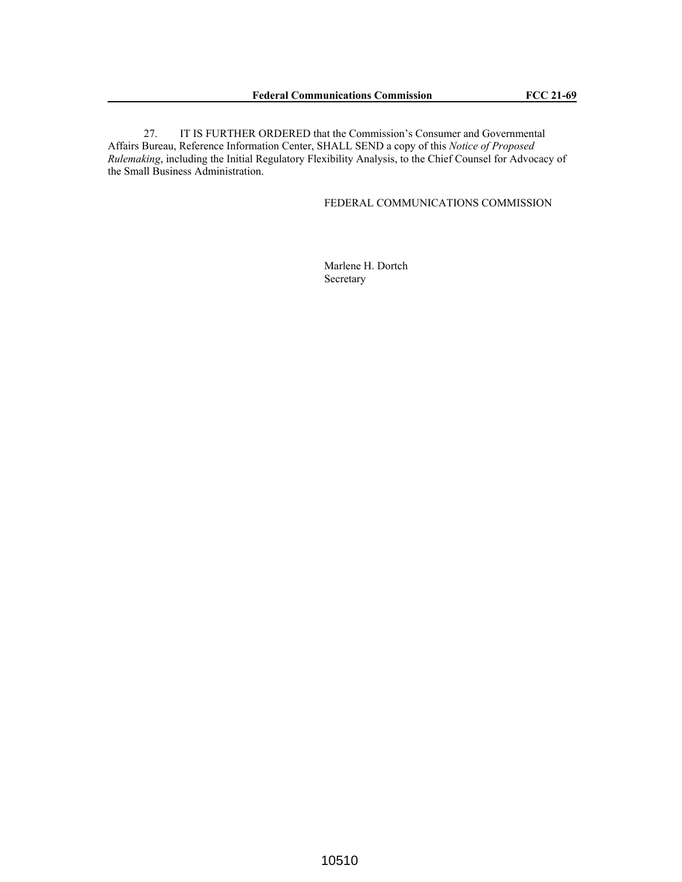27. IT IS FURTHER ORDERED that the Commission's Consumer and Governmental Affairs Bureau, Reference Information Center, SHALL SEND a copy of this *Notice of Proposed Rulemaking*, including the Initial Regulatory Flexibility Analysis, to the Chief Counsel for Advocacy of the Small Business Administration.

### FEDERAL COMMUNICATIONS COMMISSION

Marlene H. Dortch Secretary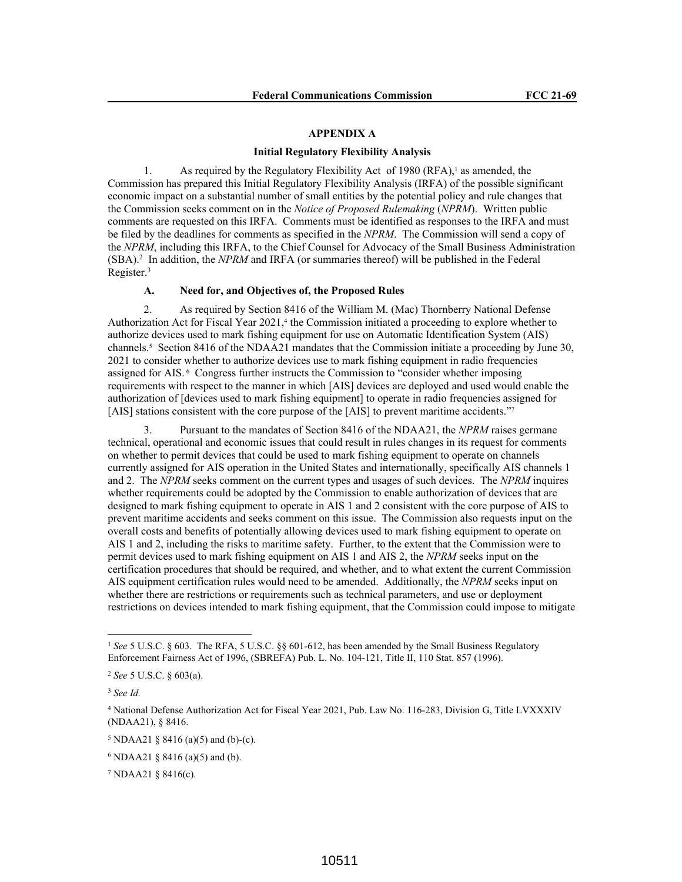#### **APPENDIX A**

#### **Initial Regulatory Flexibility Analysis**

1. As required by the Regulatory Flexibility Act of 1980 (RFA),<sup>1</sup> as amended, the Commission has prepared this Initial Regulatory Flexibility Analysis (IRFA) of the possible significant economic impact on a substantial number of small entities by the potential policy and rule changes that the Commission seeks comment on in the *Notice of Proposed Rulemaking* (*NPRM*). Written public comments are requested on this IRFA. Comments must be identified as responses to the IRFA and must be filed by the deadlines for comments as specified in the *NPRM*. The Commission will send a copy of the *NPRM*, including this IRFA, to the Chief Counsel for Advocacy of the Small Business Administration (SBA).<sup>2</sup> In addition, the *NPRM* and IRFA (or summaries thereof) will be published in the Federal Register.<sup>3</sup>

### **A. Need for, and Objectives of, the Proposed Rules**

2. As required by Section 8416 of the William M. (Mac) Thornberry National Defense Authorization Act for Fiscal Year 2021,<sup>4</sup> the Commission initiated a proceeding to explore whether to authorize devices used to mark fishing equipment for use on Automatic Identification System (AIS) channels.<sup>5</sup> Section 8416 of the NDAA21 mandates that the Commission initiate a proceeding by June 30, 2021 to consider whether to authorize devices use to mark fishing equipment in radio frequencies assigned for AIS. 6 Congress further instructs the Commission to "consider whether imposing requirements with respect to the manner in which [AIS] devices are deployed and used would enable the authorization of [devices used to mark fishing equipment] to operate in radio frequencies assigned for [AIS] stations consistent with the core purpose of the [AIS] to prevent maritime accidents."7

3. Pursuant to the mandates of Section 8416 of the NDAA21, the *NPRM* raises germane technical, operational and economic issues that could result in rules changes in its request for comments on whether to permit devices that could be used to mark fishing equipment to operate on channels currently assigned for AIS operation in the United States and internationally, specifically AIS channels 1 and 2. The *NPRM* seeks comment on the current types and usages of such devices. The *NPRM* inquires whether requirements could be adopted by the Commission to enable authorization of devices that are designed to mark fishing equipment to operate in AIS 1 and 2 consistent with the core purpose of AIS to prevent maritime accidents and seeks comment on this issue. The Commission also requests input on the overall costs and benefits of potentially allowing devices used to mark fishing equipment to operate on AIS 1 and 2, including the risks to maritime safety. Further, to the extent that the Commission were to permit devices used to mark fishing equipment on AIS 1 and AIS 2, the *NPRM* seeks input on the certification procedures that should be required, and whether, and to what extent the current Commission AIS equipment certification rules would need to be amended. Additionally, the *NPRM* seeks input on whether there are restrictions or requirements such as technical parameters, and use or deployment restrictions on devices intended to mark fishing equipment, that the Commission could impose to mitigate

<sup>1</sup> *See* 5 U.S.C. § 603. The RFA, 5 U.S.C. §§ 601-612, has been amended by the Small Business Regulatory Enforcement Fairness Act of 1996, (SBREFA) Pub. L. No. 104-121, Title II, 110 Stat. 857 (1996).

<sup>2</sup> *See* 5 U.S.C. § 603(a).

<sup>3</sup> *See Id.*

<sup>4</sup> National Defense Authorization Act for Fiscal Year 2021, Pub. Law No. 116-283, Division G, Title LVXXXIV (NDAA21), § 8416.

 $5 \text{ NDAA21} \$  8416 (a)(5) and (b)-(c).

 $6 \text{ NDAA21 }$  § 8416 (a)(5) and (b).

<sup>&</sup>lt;sup>7</sup> NDAA21  $\S$  8416(c).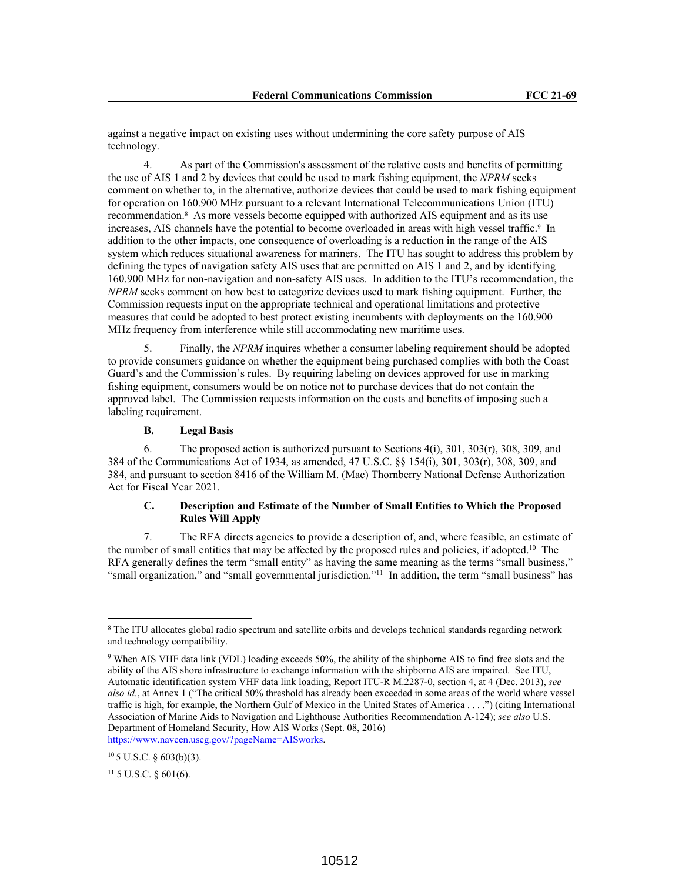against a negative impact on existing uses without undermining the core safety purpose of AIS technology.

4. As part of the Commission's assessment of the relative costs and benefits of permitting the use of AIS 1 and 2 by devices that could be used to mark fishing equipment, the *NPRM* seeks comment on whether to, in the alternative, authorize devices that could be used to mark fishing equipment for operation on 160.900 MHz pursuant to a relevant International Telecommunications Union (ITU) recommendation.<sup>8</sup> As more vessels become equipped with authorized AIS equipment and as its use increases, AIS channels have the potential to become overloaded in areas with high vessel traffic.<sup>9</sup> In addition to the other impacts, one consequence of overloading is a reduction in the range of the AIS system which reduces situational awareness for mariners. The ITU has sought to address this problem by defining the types of navigation safety AIS uses that are permitted on AIS 1 and 2, and by identifying 160.900 MHz for non-navigation and non-safety AIS uses. In addition to the ITU's recommendation, the *NPRM* seeks comment on how best to categorize devices used to mark fishing equipment. Further, the Commission requests input on the appropriate technical and operational limitations and protective measures that could be adopted to best protect existing incumbents with deployments on the 160.900 MHz frequency from interference while still accommodating new maritime uses.

5. Finally, the *NPRM* inquires whether a consumer labeling requirement should be adopted to provide consumers guidance on whether the equipment being purchased complies with both the Coast Guard's and the Commission's rules. By requiring labeling on devices approved for use in marking fishing equipment, consumers would be on notice not to purchase devices that do not contain the approved label. The Commission requests information on the costs and benefits of imposing such a labeling requirement.

# **B. Legal Basis**

6. The proposed action is authorized pursuant to Sections 4(i), 301, 303(r), 308, 309, and 384 of the Communications Act of 1934, as amended, 47 U.S.C. §§ 154(i), 301, 303(r), 308, 309, and 384, and pursuant to section 8416 of the William M. (Mac) Thornberry National Defense Authorization Act for Fiscal Year 2021.

## **C. Description and Estimate of the Number of Small Entities to Which the Proposed Rules Will Apply**

7. The RFA directs agencies to provide a description of, and, where feasible, an estimate of the number of small entities that may be affected by the proposed rules and policies, if adopted.<sup>10</sup> The RFA generally defines the term "small entity" as having the same meaning as the terms "small business," "small organization," and "small governmental jurisdiction."<sup>11</sup> In addition, the term "small business" has

<sup>&</sup>lt;sup>8</sup> The ITU allocates global radio spectrum and satellite orbits and develops technical standards regarding network and technology compatibility.

<sup>9</sup> When AIS VHF data link (VDL) loading exceeds 50%, the ability of the shipborne AIS to find free slots and the ability of the AIS shore infrastructure to exchange information with the shipborne AIS are impaired. See ITU, Automatic identification system VHF data link loading, Report ITU-R M.2287-0, section 4, at 4 (Dec. 2013), *see also id.*, at Annex 1 ("The critical 50% threshold has already been exceeded in some areas of the world where vessel traffic is high, for example, the Northern Gulf of Mexico in the United States of America . . . .") (citing International Association of Marine Aids to Navigation and Lighthouse Authorities Recommendation A-124); *see also* U.S. Department of Homeland Security, How AIS Works (Sept. 08, 2016) https://www.navcen.uscg.gov/?pageName=AISworks.

 $105$  U.S.C. § 603(b)(3).

 $11\,$  5 U.S.C. § 601(6).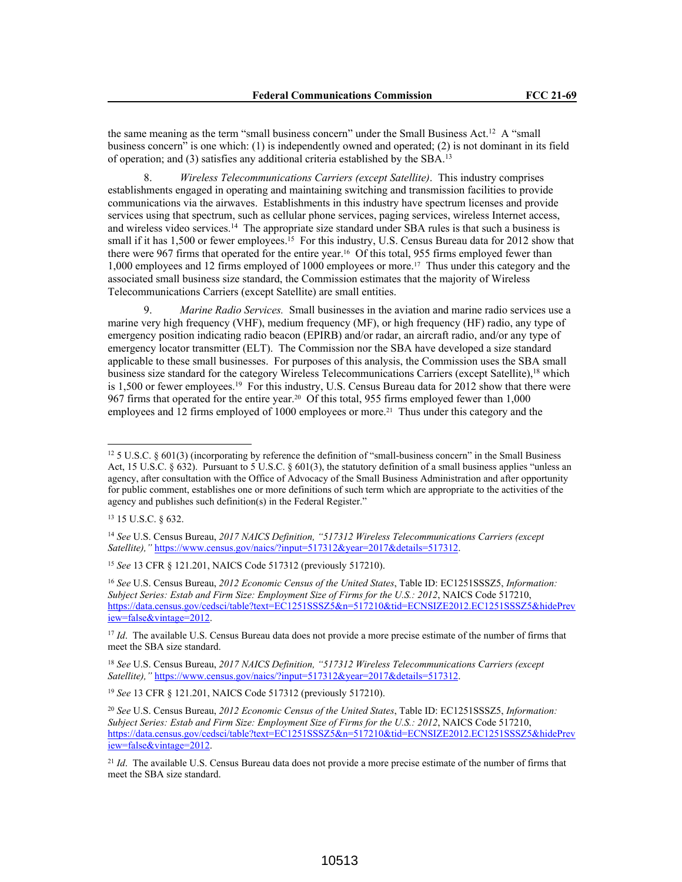the same meaning as the term "small business concern" under the Small Business Act.<sup>12</sup> A "small business concern" is one which: (1) is independently owned and operated; (2) is not dominant in its field of operation; and (3) satisfies any additional criteria established by the SBA.<sup>13</sup>

8. *Wireless Telecommunications Carriers (except Satellite)*. This industry comprises establishments engaged in operating and maintaining switching and transmission facilities to provide communications via the airwaves. Establishments in this industry have spectrum licenses and provide services using that spectrum, such as cellular phone services, paging services, wireless Internet access, and wireless video services.<sup>14</sup> The appropriate size standard under SBA rules is that such a business is small if it has 1,500 or fewer employees.<sup>15</sup> For this industry, U.S. Census Bureau data for 2012 show that there were 967 firms that operated for the entire year.16 Of this total, 955 firms employed fewer than 1,000 employees and 12 firms employed of 1000 employees or more.17 Thus under this category and the associated small business size standard, the Commission estimates that the majority of Wireless Telecommunications Carriers (except Satellite) are small entities.

9. *Marine Radio Services.* Small businesses in the aviation and marine radio services use a marine very high frequency (VHF), medium frequency (MF), or high frequency (HF) radio, any type of emergency position indicating radio beacon (EPIRB) and/or radar, an aircraft radio, and/or any type of emergency locator transmitter (ELT). The Commission nor the SBA have developed a size standard applicable to these small businesses. For purposes of this analysis, the Commission uses the SBA small business size standard for the category Wireless Telecommunications Carriers (except Satellite),<sup>18</sup> which is 1,500 or fewer employees.<sup>19</sup> For this industry, U.S. Census Bureau data for 2012 show that there were 967 firms that operated for the entire year.20 Of this total, 955 firms employed fewer than 1,000 employees and 12 firms employed of 1000 employees or more.21 Thus under this category and the

<sup>19</sup> *See* 13 CFR § 121.201, NAICS Code 517312 (previously 517210).

<sup>12</sup> 5 U.S.C. § 601(3) (incorporating by reference the definition of "small-business concern" in the Small Business Act, 15 U.S.C. § 632). Pursuant to 5 U.S.C. § 601(3), the statutory definition of a small business applies "unless an agency, after consultation with the Office of Advocacy of the Small Business Administration and after opportunity for public comment, establishes one or more definitions of such term which are appropriate to the activities of the agency and publishes such definition(s) in the Federal Register."

<sup>13</sup> 15 U.S.C. § 632.

<sup>14</sup> *See* U.S. Census Bureau, *2017 NAICS Definition, "517312 Wireless Telecommunications Carriers (except Satellite),"* https://www.census.gov/naics/?input=517312&year=2017&details=517312.

<sup>15</sup> *See* 13 CFR § 121.201, NAICS Code 517312 (previously 517210).

<sup>16</sup> *See* U.S. Census Bureau, *2012 Economic Census of the United States*, Table ID: EC1251SSSZ5, *Information: Subject Series: Estab and Firm Size: Employment Size of Firms for the U.S.: 2012*, NAICS Code 517210, https://data.census.gov/cedsci/table?text=EC1251SSSZ5&n=517210&tid=ECNSIZE2012.EC1251SSSZ5&hidePrev iew=false&vintage=2012.

<sup>&</sup>lt;sup>17</sup> *Id*. The available U.S. Census Bureau data does not provide a more precise estimate of the number of firms that meet the SBA size standard.

<sup>18</sup> *See* U.S. Census Bureau, *2017 NAICS Definition, "517312 Wireless Telecommunications Carriers (except Satellite),"* https://www.census.gov/naics/?input=517312&year=2017&details=517312.

<sup>20</sup> *See* U.S. Census Bureau, *2012 Economic Census of the United States*, Table ID: EC1251SSSZ5, *Information: Subject Series: Estab and Firm Size: Employment Size of Firms for the U.S.: 2012*, NAICS Code 517210, https://data.census.gov/cedsci/table?text=EC1251SSSZ5&n=517210&tid=ECNSIZE2012.EC1251SSSZ5&hidePrev iew=false&vintage=2012.

<sup>21</sup> *Id*. The available U.S. Census Bureau data does not provide a more precise estimate of the number of firms that meet the SBA size standard.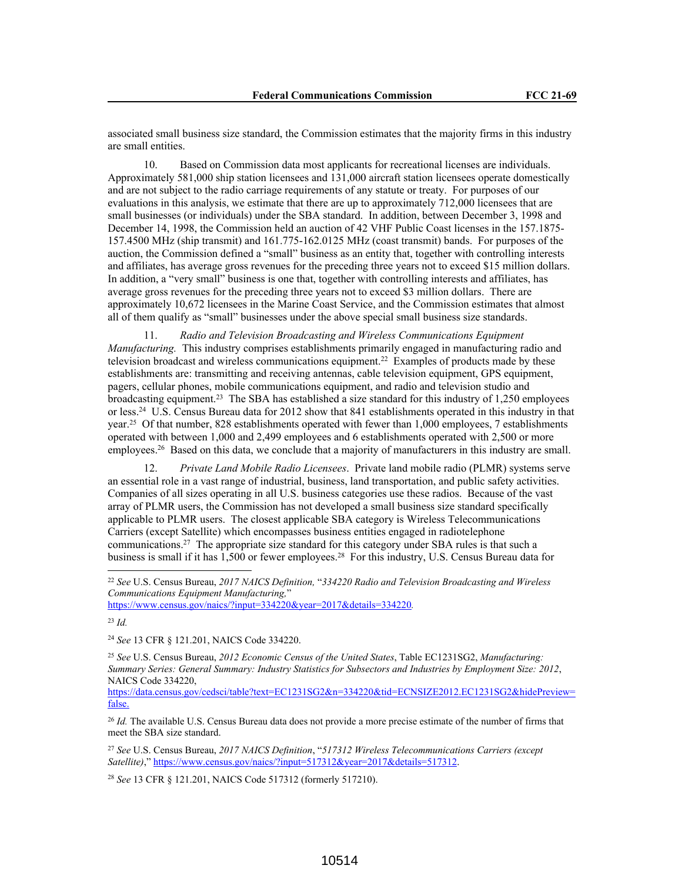associated small business size standard, the Commission estimates that the majority firms in this industry are small entities.

10. Based on Commission data most applicants for recreational licenses are individuals. Approximately 581,000 ship station licensees and 131,000 aircraft station licensees operate domestically and are not subject to the radio carriage requirements of any statute or treaty. For purposes of our evaluations in this analysis, we estimate that there are up to approximately 712,000 licensees that are small businesses (or individuals) under the SBA standard. In addition, between December 3, 1998 and December 14, 1998, the Commission held an auction of 42 VHF Public Coast licenses in the 157.1875- 157.4500 MHz (ship transmit) and 161.775-162.0125 MHz (coast transmit) bands. For purposes of the auction, the Commission defined a "small" business as an entity that, together with controlling interests and affiliates, has average gross revenues for the preceding three years not to exceed \$15 million dollars. In addition, a "very small" business is one that, together with controlling interests and affiliates, has average gross revenues for the preceding three years not to exceed \$3 million dollars. There are approximately 10,672 licensees in the Marine Coast Service, and the Commission estimates that almost all of them qualify as "small" businesses under the above special small business size standards.

11. *Radio and Television Broadcasting and Wireless Communications Equipment Manufacturing.* This industry comprises establishments primarily engaged in manufacturing radio and television broadcast and wireless communications equipment.<sup>22</sup> Examples of products made by these establishments are: transmitting and receiving antennas, cable television equipment, GPS equipment, pagers, cellular phones, mobile communications equipment, and radio and television studio and broadcasting equipment.<sup>23</sup> The SBA has established a size standard for this industry of 1,250 employees or less.<sup>24</sup> U.S. Census Bureau data for 2012 show that 841 establishments operated in this industry in that year.<sup>25</sup> Of that number, 828 establishments operated with fewer than 1,000 employees, 7 establishments operated with between 1,000 and 2,499 employees and 6 establishments operated with 2,500 or more employees.<sup>26</sup> Based on this data, we conclude that a majority of manufacturers in this industry are small.

12. *Private Land Mobile Radio Licensees*. Private land mobile radio (PLMR) systems serve an essential role in a vast range of industrial, business, land transportation, and public safety activities. Companies of all sizes operating in all U.S. business categories use these radios. Because of the vast array of PLMR users, the Commission has not developed a small business size standard specifically applicable to PLMR users. The closest applicable SBA category is Wireless Telecommunications Carriers (except Satellite) which encompasses business entities engaged in radiotelephone communications.<sup>27</sup> The appropriate size standard for this category under SBA rules is that such a business is small if it has 1,500 or fewer employees.<sup>28</sup> For this industry, U.S. Census Bureau data for

https://www.census.gov/naics/?input=334220&year=2017&details=334220*.*

<sup>23</sup> *Id.*

<sup>24</sup> *See* 13 CFR § 121.201, NAICS Code 334220.

<sup>25</sup> *See* U.S. Census Bureau, *2012 Economic Census of the United States*, Table EC1231SG2, *Manufacturing: Summary Series: General Summary: Industry Statistics for Subsectors and Industries by Employment Size: 2012*, NAICS Code 334220,

https://data.census.gov/cedsci/table?text=EC1231SG2&n=334220&tid=ECNSIZE2012.EC1231SG2&hidePreview= false.

<sup>26</sup> *Id.* The available U.S. Census Bureau data does not provide a more precise estimate of the number of firms that meet the SBA size standard.

<sup>27</sup> *See* U.S. Census Bureau, *2017 NAICS Definition*, "*517312 Wireless Telecommunications Carriers (except Satellite)*," https://www.census.gov/naics/?input=517312&year=2017&details=517312.

<sup>28</sup> *See* 13 CFR § 121.201, NAICS Code 517312 (formerly 517210).

<sup>22</sup> *See* U.S. Census Bureau, *2017 NAICS Definition,* "*334220 Radio and Television Broadcasting and Wireless Communications Equipment Manufacturing,*"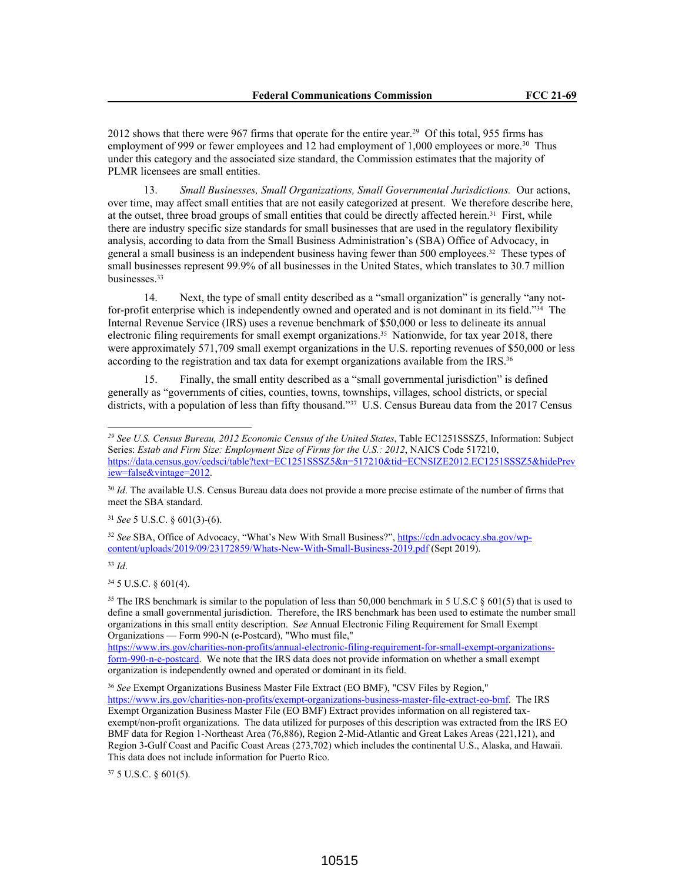2012 shows that there were 967 firms that operate for the entire year.<sup>29</sup> Of this total, 955 firms has employment of 999 or fewer employees and 12 had employment of 1,000 employees or more.<sup>30</sup> Thus under this category and the associated size standard, the Commission estimates that the majority of PLMR licensees are small entities.

13. *Small Businesses, Small Organizations, Small Governmental Jurisdictions.* Our actions, over time, may affect small entities that are not easily categorized at present. We therefore describe here, at the outset, three broad groups of small entities that could be directly affected herein.<sup>31</sup> First, while there are industry specific size standards for small businesses that are used in the regulatory flexibility analysis, according to data from the Small Business Administration's (SBA) Office of Advocacy, in general a small business is an independent business having fewer than 500 employees.32 These types of small businesses represent 99.9% of all businesses in the United States, which translates to 30.7 million businesses.<sup>33</sup>

14. Next, the type of small entity described as a "small organization" is generally "any notfor-profit enterprise which is independently owned and operated and is not dominant in its field."34 The Internal Revenue Service (IRS) uses a revenue benchmark of \$50,000 or less to delineate its annual electronic filing requirements for small exempt organizations.35 Nationwide, for tax year 2018, there were approximately 571,709 small exempt organizations in the U.S. reporting revenues of \$50,000 or less according to the registration and tax data for exempt organizations available from the IRS.<sup>36</sup>

15. Finally, the small entity described as a "small governmental jurisdiction" is defined generally as "governments of cities, counties, towns, townships, villages, school districts, or special districts, with a population of less than fifty thousand."<sup>37</sup> U.S. Census Bureau data from the 2017 Census

<sup>31</sup> *See* 5 U.S.C. § 601(3)-(6).

<sup>33</sup> *Id*.

<sup>34</sup> 5 U.S.C. § 601(4).

https://www.irs.gov/charities-non-profits/annual-electronic-filing-requirement-for-small-exempt-organizationsform-990-n-e-postcard. We note that the IRS data does not provide information on whether a small exempt organization is independently owned and operated or dominant in its field.

<sup>36</sup> *See* Exempt Organizations Business Master File Extract (EO BMF), "CSV Files by Region," https://www.irs.gov/charities-non-profits/exempt-organizations-business-master-file-extract-eo-bmf. The IRS Exempt Organization Business Master File (EO BMF) Extract provides information on all registered taxexempt/non-profit organizations. The data utilized for purposes of this description was extracted from the IRS EO BMF data for Region 1-Northeast Area (76,886), Region 2-Mid-Atlantic and Great Lakes Areas (221,121), and Region 3-Gulf Coast and Pacific Coast Areas (273,702) which includes the continental U.S., Alaska, and Hawaii. This data does not include information for Puerto Rico.

<sup>37</sup> 5 U.S.C. § 601(5).

*<sup>29</sup> See U.S. Census Bureau, 2012 Economic Census of the United States*, Table EC1251SSSZ5, Information: Subject Series: *Estab and Firm Size: Employment Size of Firms for the U.S.: 2012*, NAICS Code 517210, https://data.census.gov/cedsci/table?text=EC1251SSSZ5&n=517210&tid=ECNSIZE2012.EC1251SSSZ5&hidePrev iew=false&vintage=2012.

<sup>30</sup> *Id*. The available U.S. Census Bureau data does not provide a more precise estimate of the number of firms that meet the SBA standard.

<sup>32</sup> *See* SBA, Office of Advocacy, "What's New With Small Business?", https://cdn.advocacy.sba.gov/wpcontent/uploads/2019/09/23172859/Whats-New-With-Small-Business-2019.pdf (Sept 2019).

<sup>&</sup>lt;sup>35</sup> The IRS benchmark is similar to the population of less than 50,000 benchmark in 5 U.S.C § 601(5) that is used to define a small governmental jurisdiction. Therefore, the IRS benchmark has been used to estimate the number small organizations in this small entity description. S*ee* Annual Electronic Filing Requirement for Small Exempt Organizations — Form 990-N (e-Postcard), "Who must file,"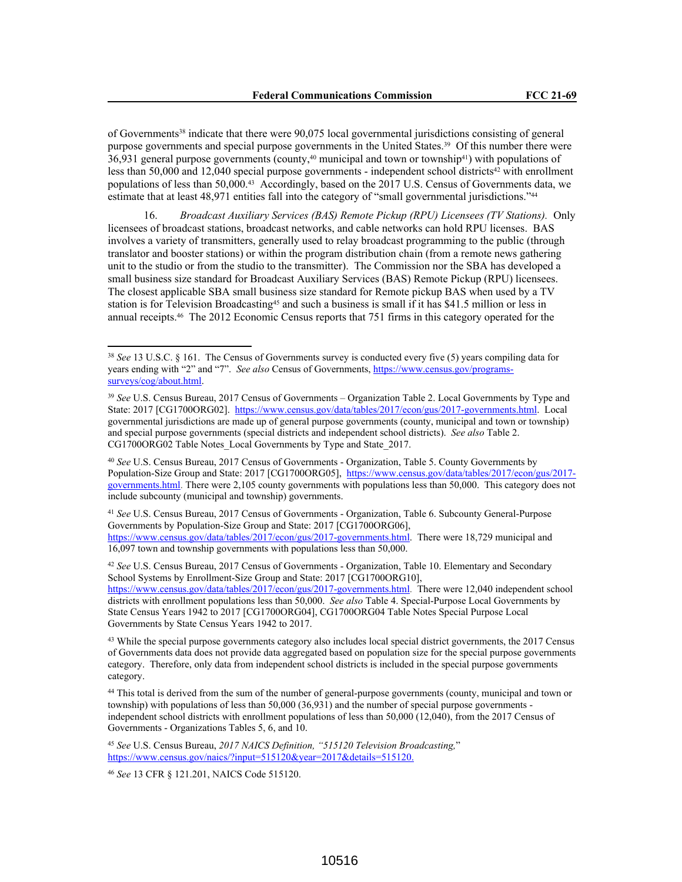of Governments38 indicate that there were 90,075 local governmental jurisdictions consisting of general purpose governments and special purpose governments in the United States.39 Of this number there were 36,931 general purpose governments (county,40 municipal and town or township41) with populations of less than 50,000 and 12,040 special purpose governments - independent school districts<sup>42</sup> with enrollment populations of less than 50,000.43 Accordingly, based on the 2017 U.S. Census of Governments data, we estimate that at least 48,971 entities fall into the category of "small governmental jurisdictions."<sup>44</sup>

16. *Broadcast Auxiliary Services (BAS) Remote Pickup (RPU) Licensees (TV Stations).* Only licensees of broadcast stations, broadcast networks, and cable networks can hold RPU licenses. BAS involves a variety of transmitters, generally used to relay broadcast programming to the public (through translator and booster stations) or within the program distribution chain (from a remote news gathering unit to the studio or from the studio to the transmitter). The Commission nor the SBA has developed a small business size standard for Broadcast Auxiliary Services (BAS) Remote Pickup (RPU) licensees. The closest applicable SBA small business size standard for Remote pickup BAS when used by a TV station is for Television Broadcasting<sup>45</sup> and such a business is small if it has \$41.5 million or less in annual receipts.46 The 2012 Economic Census reports that 751 firms in this category operated for the

<sup>41</sup> *See* U.S. Census Bureau, 2017 Census of Governments - Organization, Table 6. Subcounty General-Purpose Governments by Population-Size Group and State: 2017 [CG1700ORG06], https://www.census.gov/data/tables/2017/econ/gus/2017-governments.html. There were 18,729 municipal and 16,097 town and township governments with populations less than 50,000.

<sup>42</sup> *See* U.S. Census Bureau, 2017 Census of Governments - Organization, Table 10. Elementary and Secondary School Systems by Enrollment-Size Group and State: 2017 [CG1700ORG10], https://www.census.gov/data/tables/2017/econ/gus/2017-governments.html. There were 12,040 independent school districts with enrollment populations less than 50,000. *See also* Table 4. Special-Purpose Local Governments by State Census Years 1942 to 2017 [CG1700ORG04], CG1700ORG04 Table Notes Special Purpose Local Governments by State Census Years 1942 to 2017.

<sup>45</sup> *See* U.S. Census Bureau, *2017 NAICS Definition, "515120 Television Broadcasting,*" https://www.census.gov/naics/?input=515120&year=2017&details=515120.

<sup>46</sup> *See* 13 CFR § 121.201, NAICS Code 515120.

<sup>38</sup> *See* 13 U.S.C. § 161. The Census of Governments survey is conducted every five (5) years compiling data for years ending with "2" and "7". *See also* Census of Governments, https://www.census.gov/programssurveys/cog/about.html.

<sup>39</sup> *See* U.S. Census Bureau, 2017 Census of Governments – Organization Table 2. Local Governments by Type and State: 2017 [CG1700ORG02]. https://www.census.gov/data/tables/2017/econ/gus/2017-governments.html. Local governmental jurisdictions are made up of general purpose governments (county, municipal and town or township) and special purpose governments (special districts and independent school districts). *See also* Table 2. CG1700ORG02 Table Notes\_Local Governments by Type and State\_2017.

<sup>40</sup> *See* U.S. Census Bureau, 2017 Census of Governments - Organization, Table 5. County Governments by Population-Size Group and State: 2017 [CG1700ORG05], https://www.census.gov/data/tables/2017/econ/gus/2017 governments.html. There were 2,105 county governments with populations less than 50,000. This category does not include subcounty (municipal and township) governments.

<sup>&</sup>lt;sup>43</sup> While the special purpose governments category also includes local special district governments, the 2017 Census of Governments data does not provide data aggregated based on population size for the special purpose governments category. Therefore, only data from independent school districts is included in the special purpose governments category.

<sup>44</sup> This total is derived from the sum of the number of general-purpose governments (county, municipal and town or township) with populations of less than 50,000 (36,931) and the number of special purpose governments independent school districts with enrollment populations of less than 50,000 (12,040), from the 2017 Census of Governments - Organizations Tables 5, 6, and 10.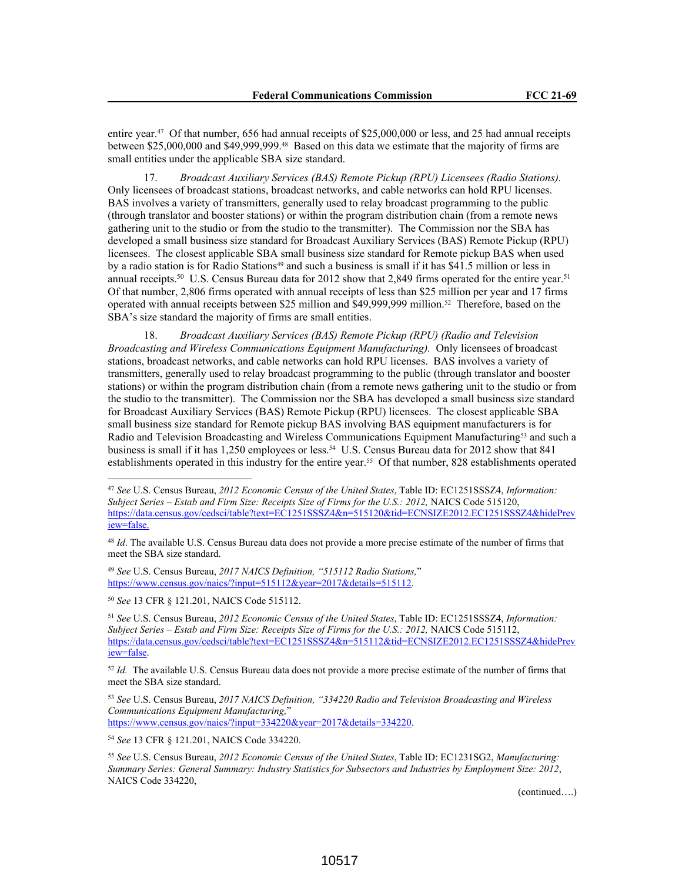entire year.47 Of that number, 656 had annual receipts of \$25,000,000 or less, and 25 had annual receipts between \$25,000,000 and \$49,999,999.48 Based on this data we estimate that the majority of firms are small entities under the applicable SBA size standard.

17. *Broadcast Auxiliary Services (BAS) Remote Pickup (RPU) Licensees (Radio Stations).* Only licensees of broadcast stations, broadcast networks, and cable networks can hold RPU licenses. BAS involves a variety of transmitters, generally used to relay broadcast programming to the public (through translator and booster stations) or within the program distribution chain (from a remote news gathering unit to the studio or from the studio to the transmitter). The Commission nor the SBA has developed a small business size standard for Broadcast Auxiliary Services (BAS) Remote Pickup (RPU) licensees. The closest applicable SBA small business size standard for Remote pickup BAS when used by a radio station is for Radio Stations<sup>49</sup> and such a business is small if it has \$41.5 million or less in annual receipts.<sup>50</sup> U.S. Census Bureau data for 2012 show that 2,849 firms operated for the entire year.<sup>51</sup> Of that number, 2,806 firms operated with annual receipts of less than \$25 million per year and 17 firms operated with annual receipts between \$25 million and \$49,999,999 million.52 Therefore, based on the SBA's size standard the majority of firms are small entities.

18. *Broadcast Auxiliary Services (BAS) Remote Pickup (RPU) (Radio and Television Broadcasting and Wireless Communications Equipment Manufacturing).* Only licensees of broadcast stations, broadcast networks, and cable networks can hold RPU licenses. BAS involves a variety of transmitters, generally used to relay broadcast programming to the public (through translator and booster stations) or within the program distribution chain (from a remote news gathering unit to the studio or from the studio to the transmitter). The Commission nor the SBA has developed a small business size standard for Broadcast Auxiliary Services (BAS) Remote Pickup (RPU) licensees. The closest applicable SBA small business size standard for Remote pickup BAS involving BAS equipment manufacturers is for Radio and Television Broadcasting and Wireless Communications Equipment Manufacturing<sup>53</sup> and such a business is small if it has 1,250 employees or less.54 U.S. Census Bureau data for 2012 show that 841 establishments operated in this industry for the entire year.55 Of that number, 828 establishments operated

<sup>48</sup> *Id*. The available U.S. Census Bureau data does not provide a more precise estimate of the number of firms that meet the SBA size standard.

<sup>49</sup> *See* U.S. Census Bureau, *2017 NAICS Definition, "515112 Radio Stations,*" https://www.census.gov/naics/?input=515112&year=2017&details=515112.

<sup>50</sup> *See* 13 CFR § 121.201, NAICS Code 515112.

<sup>51</sup> *See* U.S. Census Bureau, *2012 Economic Census of the United States*, Table ID: EC1251SSSZ4, *Information: Subject Series – Estab and Firm Size: Receipts Size of Firms for the U.S.: 2012,* NAICS Code 515112, https://data.census.gov/cedsci/table?text=EC1251SSSZ4&n=515112&tid=ECNSIZE2012.EC1251SSSZ4&hidePrev iew=false.

<sup>52</sup> *Id.* The available U.S. Census Bureau data does not provide a more precise estimate of the number of firms that meet the SBA size standard.

<sup>53</sup> *See* U.S. Census Bureau, *2017 NAICS Definition, "334220 Radio and Television Broadcasting and Wireless Communications Equipment Manufacturing,*" https://www.census.gov/naics/?input=334220&year=2017&details=334220.

<sup>54</sup> *See* 13 CFR § 121.201, NAICS Code 334220.

(continued….)

<sup>47</sup> *See* U.S. Census Bureau, *2012 Economic Census of the United States*, Table ID: EC1251SSSZ4, *Information: Subject Series – Estab and Firm Size: Receipts Size of Firms for the U.S.: 2012,* NAICS Code 515120, https://data.census.gov/cedsci/table?text=EC1251SSSZ4&n=515120&tid=ECNSIZE2012.EC1251SSSZ4&hidePrev iew=false.

<sup>55</sup> *See* U.S. Census Bureau, *2012 Economic Census of the United States*, Table ID: EC1231SG2, *Manufacturing: Summary Series: General Summary: Industry Statistics for Subsectors and Industries by Employment Size: 2012*, NAICS Code 334220,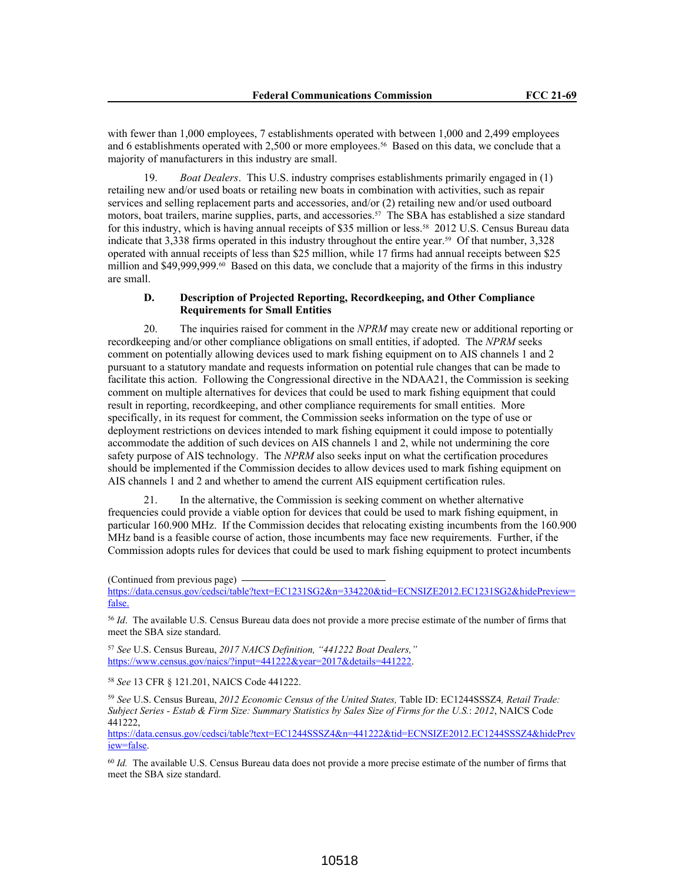with fewer than 1,000 employees, 7 establishments operated with between 1,000 and 2,499 employees and 6 establishments operated with 2,500 or more employees.<sup>56</sup> Based on this data, we conclude that a majority of manufacturers in this industry are small.

19. *Boat Dealers*. This U.S. industry comprises establishments primarily engaged in (1) retailing new and/or used boats or retailing new boats in combination with activities, such as repair services and selling replacement parts and accessories, and/or (2) retailing new and/or used outboard motors, boat trailers, marine supplies, parts, and accessories.57 The SBA has established a size standard for this industry, which is having annual receipts of \$35 million or less.<sup>58</sup> 2012 U.S. Census Bureau data indicate that 3,338 firms operated in this industry throughout the entire year.59 Of that number, 3,328 operated with annual receipts of less than \$25 million, while 17 firms had annual receipts between \$25 million and  $$49,999,999$ .<sup>60</sup> Based on this data, we conclude that a majority of the firms in this industry are small.

### **D. Description of Projected Reporting, Recordkeeping, and Other Compliance Requirements for Small Entities**

20. The inquiries raised for comment in the *NPRM* may create new or additional reporting or recordkeeping and/or other compliance obligations on small entities, if adopted. The *NPRM* seeks comment on potentially allowing devices used to mark fishing equipment on to AIS channels 1 and 2 pursuant to a statutory mandate and requests information on potential rule changes that can be made to facilitate this action. Following the Congressional directive in the NDAA21, the Commission is seeking comment on multiple alternatives for devices that could be used to mark fishing equipment that could result in reporting, recordkeeping, and other compliance requirements for small entities. More specifically, in its request for comment, the Commission seeks information on the type of use or deployment restrictions on devices intended to mark fishing equipment it could impose to potentially accommodate the addition of such devices on AIS channels 1 and 2, while not undermining the core safety purpose of AIS technology. The *NPRM* also seeks input on what the certification procedures should be implemented if the Commission decides to allow devices used to mark fishing equipment on AIS channels 1 and 2 and whether to amend the current AIS equipment certification rules.

21. In the alternative, the Commission is seeking comment on whether alternative frequencies could provide a viable option for devices that could be used to mark fishing equipment, in particular 160.900 MHz. If the Commission decides that relocating existing incumbents from the 160.900 MHz band is a feasible course of action, those incumbents may face new requirements. Further, if the Commission adopts rules for devices that could be used to mark fishing equipment to protect incumbents

https://data.census.gov/cedsci/table?text=EC1231SG2&n=334220&tid=ECNSIZE2012.EC1231SG2&hidePreview= false.

<sup>56</sup> *Id*. The available U.S. Census Bureau data does not provide a more precise estimate of the number of firms that meet the SBA size standard.

<sup>57</sup> *See* U.S. Census Bureau, *2017 NAICS Definition, "441222 Boat Dealers,"* https://www.census.gov/naics/?input=441222&year=2017&details=441222.

<sup>58</sup> *See* 13 CFR § 121.201, NAICS Code 441222.

<sup>59</sup> *See* U.S. Census Bureau, *2012 Economic Census of the United States,* Table ID: EC1244SSSZ4*, Retail Trade: Subject Series - Estab & Firm Size: Summary Statistics by Sales Size of Firms for the U.S.*: *2012*, NAICS Code 441222,

https://data.census.gov/cedsci/table?text=EC1244SSSZ4&n=441222&tid=ECNSIZE2012.EC1244SSSZ4&hidePrev iew=false.

<sup>60</sup> *Id.* The available U.S. Census Bureau data does not provide a more precise estimate of the number of firms that meet the SBA size standard.

<sup>(</sup>Continued from previous page)